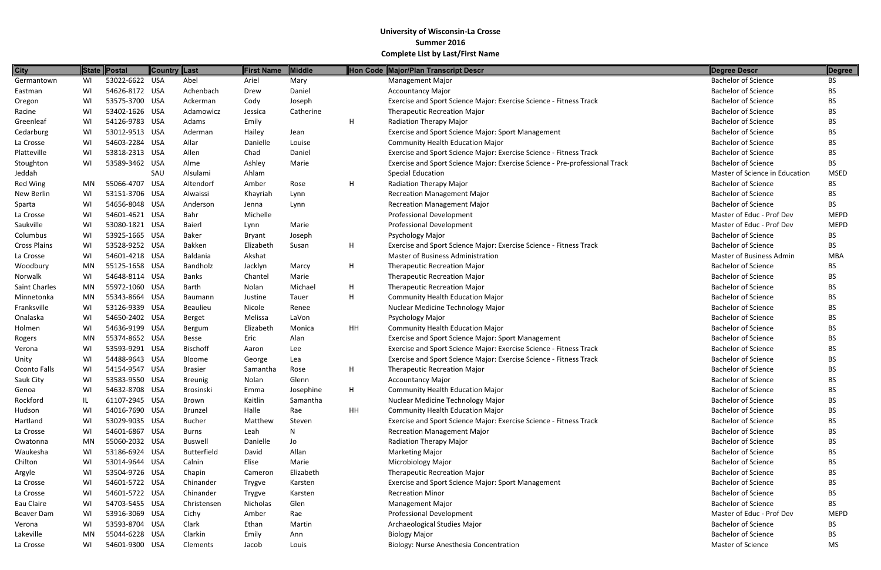| <b>City</b>         |    | State Postal   | <b>Country Last</b> |                    | <b>First Name</b>  | Middle    |    | Hon Code Major/Plan Transcript Descr                                        | <b>Degree Descr</b>            | Degree      |
|---------------------|----|----------------|---------------------|--------------------|--------------------|-----------|----|-----------------------------------------------------------------------------|--------------------------------|-------------|
| Germantown          | WI | 53022-6622 USA |                     | Abel               | Ariel              | Mary      |    | <b>Management Major</b>                                                     | <b>Bachelor of Science</b>     | <b>BS</b>   |
| Eastman             | WI | 54626-8172 USA |                     | Achenbach          | Drew               | Daniel    |    | <b>Accountancy Major</b>                                                    | <b>Bachelor of Science</b>     | BS          |
| Oregon              | WI | 53575-3700 USA |                     | Ackerman           | Cody               | Joseph    |    | Exercise and Sport Science Major: Exercise Science - Fitness Track          | <b>Bachelor of Science</b>     | BS          |
| Racine              | WI | 53402-1626 USA |                     | Adamowicz          | Jessica            | Catherine |    | <b>Therapeutic Recreation Major</b>                                         | <b>Bachelor of Science</b>     | BS.         |
| Greenleaf           | WI | 54126-9783 USA |                     | Adams              | Emily              |           | H  | Radiation Therapy Major                                                     | <b>Bachelor of Science</b>     | BS.         |
| Cedarburg           | WI | 53012-9513 USA |                     | Aderman            | Hailey             | Jean      |    | Exercise and Sport Science Major: Sport Management                          | <b>Bachelor of Science</b>     | BS.         |
| La Crosse           | WI | 54603-2284 USA |                     | Allar              | Danielle           | Louise    |    | <b>Community Health Education Major</b>                                     | <b>Bachelor of Science</b>     | BS.         |
| Platteville         | WI | 53818-2313 USA |                     | Allen              | Chad               | Daniel    |    | Exercise and Sport Science Major: Exercise Science - Fitness Track          | <b>Bachelor of Science</b>     | BS.         |
| Stoughton           | WI | 53589-3462 USA |                     | Alme               | Ashley             | Marie     |    | Exercise and Sport Science Major: Exercise Science - Pre-professional Track | <b>Bachelor of Science</b>     | BS.         |
| Jeddah              |    |                | SAU                 | Alsulami           | Ahlam              |           |    | <b>Special Education</b>                                                    | Master of Science in Education | <b>MSED</b> |
| Red Wing            | MN | 55066-4707 USA |                     | Altendorf          | Amber              | Rose      | H  | Radiation Therapy Major                                                     | <b>Bachelor of Science</b>     | <b>BS</b>   |
| New Berlin          | WI | 53151-3706 USA |                     | Alwaissi           | Khayriah           | Lynn      |    | <b>Recreation Management Major</b>                                          | <b>Bachelor of Science</b>     | BS.         |
| Sparta              | WI | 54656-8048 USA |                     | Anderson           | Jenna              | Lynn      |    | <b>Recreation Management Major</b>                                          | <b>Bachelor of Science</b>     | BS.         |
| La Crosse           | WI | 54601-4621 USA |                     | Bahr               | Michelle           |           |    | <b>Professional Development</b>                                             | Master of Educ - Prof Dev      | <b>MEPD</b> |
| Saukville           | WI | 53080-1821 USA |                     | Baierl             | Lynn               | Marie     |    | <b>Professional Development</b>                                             | Master of Educ - Prof Dev      | <b>MEPD</b> |
| Columbus            | WI | 53925-1665 USA |                     | Baker              | <b>Bryant</b>      | Joseph    |    | Psychology Major                                                            | <b>Bachelor of Science</b>     | BS.         |
| <b>Cross Plains</b> | WI | 53528-9252 USA |                     | Bakken             | Elizabeth          | Susan     | H  | Exercise and Sport Science Major: Exercise Science - Fitness Track          | <b>Bachelor of Science</b>     | BS.         |
| La Crosse           | WI | 54601-4218 USA |                     | Baldania           | Akshat             |           |    | <b>Master of Business Administration</b>                                    | Master of Business Admin       | <b>MBA</b>  |
| Woodbury            | MN | 55125-1658 USA |                     | Bandholz           | Jacklyn            | Marcy     | H  | <b>Therapeutic Recreation Major</b>                                         | <b>Bachelor of Science</b>     | BS.         |
| Norwalk             | WI | 54648-8114 USA |                     | <b>Banks</b>       | Chantel            | Marie     |    | <b>Therapeutic Recreation Major</b>                                         | <b>Bachelor of Science</b>     | BS.         |
| Saint Charles       | MN | 55972-1060 USA |                     | Barth              | Nolan              | Michael   | H  | <b>Therapeutic Recreation Major</b>                                         | <b>Bachelor of Science</b>     | <b>BS</b>   |
| Minnetonka          | MN | 55343-8664 USA |                     | Baumann            | Justine            | Tauer     | H  | <b>Community Health Education Major</b>                                     | <b>Bachelor of Science</b>     | ВS          |
| Franksville         | WI | 53126-9339 USA |                     | <b>Beaulieu</b>    | Nicole             | Renee     |    | Nuclear Medicine Technology Major                                           | <b>Bachelor of Science</b>     | BS.         |
| Onalaska            | WI | 54650-2402 USA |                     | Berget             | Melissa            | LaVon     |    | Psychology Major                                                            | <b>Bachelor of Science</b>     | BS.         |
| Holmen              | WI | 54636-9199 USA |                     | Bergum             | Elizabeth          | Monica    | HH | <b>Community Health Education Major</b>                                     | <b>Bachelor of Science</b>     | <b>BS</b>   |
| Rogers              | MN | 55374-8652 USA |                     | Besse              | Eric               | Alan      |    | <b>Exercise and Sport Science Major: Sport Management</b>                   | <b>Bachelor of Science</b>     | BS.         |
| Verona              | WI | 53593-9291 USA |                     | <b>Bischoff</b>    | Aaron              | Lee       |    | Exercise and Sport Science Major: Exercise Science - Fitness Track          | <b>Bachelor of Science</b>     | BS.         |
| Unity               | WI | 54488-9643 USA |                     | Bloome             | George             | Lea       |    | Exercise and Sport Science Major: Exercise Science - Fitness Track          | <b>Bachelor of Science</b>     | BS.         |
| Oconto Falls        | WI | 54154-9547 USA |                     | <b>Brasier</b>     | Samantha           | Rose      | H  | <b>Therapeutic Recreation Major</b>                                         | <b>Bachelor of Science</b>     | <b>BS</b>   |
| Sauk City           | WI | 53583-9550 USA |                     | <b>Breunig</b>     | Nolan              | Glenn     |    | <b>Accountancy Major</b>                                                    | <b>Bachelor of Science</b>     | BS          |
| Genoa               | WI | 54632-8708 USA |                     | Brosinski          | Emma               | Josephine | H  | <b>Community Health Education Major</b>                                     | <b>Bachelor of Science</b>     | BS.         |
| Rockford            | IL | 61107-2945 USA |                     | Brown              | Kaitlin            | Samantha  |    | Nuclear Medicine Technology Major                                           | <b>Bachelor of Science</b>     | BS          |
| Hudson              | WI | 54016-7690 USA |                     | Brunzel            | Halle              | Rae       | HH | <b>Community Health Education Major</b>                                     | <b>Bachelor of Science</b>     | <b>BS</b>   |
| Hartland            | WI | 53029-9035 USA |                     | <b>Bucher</b>      | Matthew            | Steven    |    | Exercise and Sport Science Major: Exercise Science - Fitness Track          | <b>Bachelor of Science</b>     | BS.         |
| La Crosse           | WI | 54601-6867 USA |                     | <b>Burns</b>       | Leah               | N         |    | <b>Recreation Management Major</b>                                          | <b>Bachelor of Science</b>     | BS          |
| Owatonna            | MN | 55060-2032 USA |                     | <b>Buswell</b>     | Danielle           | Jo        |    | Radiation Therapy Major                                                     | <b>Bachelor of Science</b>     | BS          |
| Waukesha            | WI | 53186-6924 USA |                     | <b>Butterfield</b> | David              | Allan     |    | <b>Marketing Major</b>                                                      | <b>Bachelor of Science</b>     | BS          |
| Chilton             | WI | 53014-9644 USA |                     | Calnin             | Elise              | Marie     |    | <b>Microbiology Major</b>                                                   | <b>Bachelor of Science</b>     | <b>BS</b>   |
| Argyle              | WI | 53504-9726 USA |                     | Chapin             | Cameron            | Elizabeth |    | <b>Therapeutic Recreation Major</b>                                         | <b>Bachelor of Science</b>     | BS.         |
| La Crosse           | WI | 54601-5722 USA |                     | Chinander          | Trygve             | Karsten   |    | <b>Exercise and Sport Science Major: Sport Management</b>                   | <b>Bachelor of Science</b>     | BS.         |
| La Crosse           | WI | 54601-5722 USA |                     | Chinander          |                    | Karsten   |    | <b>Recreation Minor</b>                                                     | <b>Bachelor of Science</b>     | BS.         |
| Eau Claire          | WI | 54703-5455 USA |                     | Christensen        | Trygve<br>Nicholas | Glen      |    | <b>Management Major</b>                                                     | <b>Bachelor of Science</b>     | BS.         |
| Beaver Dam          | WI | 53916-3069 USA |                     | Cichy              | Amber              | Rae       |    | <b>Professional Development</b>                                             | Master of Educ - Prof Dev      | <b>MEPD</b> |
| Verona              | WI | 53593-8704 USA |                     | Clark              | Ethan              | Martin    |    | Archaeological Studies Major                                                | <b>Bachelor of Science</b>     | BS.         |
| Lakeville           | MN | 55044-6228 USA |                     | Clarkin            | Emily              | Ann       |    | <b>Biology Major</b>                                                        | <b>Bachelor of Science</b>     | BS.         |
| La Crosse           | WI | 54601-9300 USA |                     | Clements           | Jacob              | Louis     |    | Biology: Nurse Anesthesia Concentration                                     | Master of Science              | MS          |
|                     |    |                |                     |                    |                    |           |    |                                                                             |                                |             |

| Degree Descr                                      | Degree                 |
|---------------------------------------------------|------------------------|
| <b>Bachelor of Science</b>                        | <b>BS</b>              |
| <b>Bachelor of Science</b>                        | <b>BS</b>              |
| <b>Bachelor of Science</b>                        | <b>BS</b>              |
| <b>Bachelor of Science</b>                        | BS                     |
| <b>Bachelor of Science</b>                        | <b>BS</b>              |
| <b>Bachelor of Science</b>                        | <b>BS</b>              |
| <b>Bachelor of Science</b>                        | <b>BS</b>              |
| <b>Bachelor of Science</b>                        | <b>BS</b>              |
| <b>Bachelor of Science</b>                        | BS.                    |
| Master of Science in Education                    | <b>MSED</b>            |
| <b>Bachelor of Science</b>                        | <b>BS</b>              |
| <b>Bachelor of Science</b>                        | <b>BS</b>              |
| <b>Bachelor of Science</b>                        | <b>BS</b>              |
| Master of Educ - Prof Dev                         | <b>MEPD</b>            |
| Master of Educ - Prof Dev                         | MEPD                   |
| <b>Bachelor of Science</b>                        | BS.                    |
| <b>Bachelor of Science</b>                        | BS.                    |
| Master of Business Admin                          | MBA                    |
| <b>Bachelor of Science</b>                        | BS                     |
| <b>Bachelor of Science</b>                        | <b>BS</b>              |
| <b>Bachelor of Science</b>                        | <b>BS</b>              |
| <b>Bachelor of Science</b>                        | <b>BS</b>              |
| <b>Bachelor of Science</b>                        | <b>BS</b>              |
| <b>Bachelor of Science</b>                        | BS                     |
| <b>Bachelor of Science</b>                        | <b>BS</b>              |
| <b>Bachelor of Science</b>                        | <b>BS</b>              |
| <b>Bachelor of Science</b>                        | <b>BS</b>              |
| <b>Bachelor of Science</b>                        | <b>BS</b>              |
| <b>Bachelor of Science</b>                        | <b>BS</b>              |
| <b>Bachelor of Science</b>                        | BS                     |
| <b>Bachelor of Science</b>                        | BS                     |
| <b>Bachelor of Science</b>                        | <b>BS</b>              |
| Bachelor of Science<br><b>Bachelor of Science</b> | <b>BS</b><br><b>BS</b> |
| <b>Bachelor of Science</b>                        | <b>BS</b>              |
| <b>Bachelor of Science</b>                        | <b>BS</b>              |
| <b>Bachelor of Science</b>                        | <b>BS</b>              |
| <b>Bachelor of Science</b>                        | <b>BS</b>              |
| <b>Bachelor of Science</b>                        | <b>BS</b>              |
| <b>Bachelor of Science</b>                        | <b>BS</b>              |
| <b>Bachelor of Science</b>                        | <b>BS</b>              |
| <b>Bachelor of Science</b>                        | <b>BS</b>              |
| Master of Educ - Prof Dev                         | <b>MEPD</b>            |
| <b>Bachelor of Science</b>                        | <b>BS</b>              |
| <b>Bachelor of Science</b>                        | <b>BS</b>              |
| <b>Master of Science</b>                          | <b>MS</b>              |
|                                                   |                        |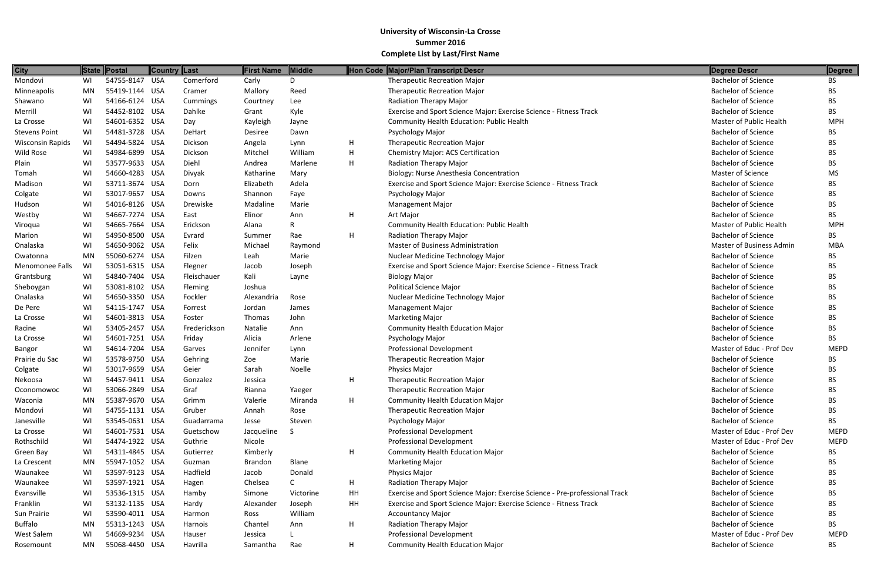| 54755-8147 USA<br><b>Therapeutic Recreation Major</b><br><b>Bachelor of Science</b><br>WI<br>Comerford<br>Carly<br>D<br>BS.<br><b>Bachelor of Science</b><br>MN<br>55419-1144 USA<br>Mallory<br>Reed<br><b>Therapeutic Recreation Major</b><br>Cramer<br><b>BS</b><br>54166-6124 USA<br><b>Bachelor of Science</b><br>WI<br>Lee<br>Radiation Therapy Major<br>BS<br>Cummings<br>Courtney<br>Dahlke<br>Kyle<br>Exercise and Sport Science Major: Exercise Science - Fitness Track<br><b>Bachelor of Science</b><br>WI<br>54452-8102 USA<br>BS.<br>Grant<br>54601-6352 USA<br><b>MPH</b><br>WI<br>Community Health Education: Public Health<br><b>Master of Public Health</b><br>Day<br>Kayleigh<br>Jayne<br>54481-3728 USA<br><b>Bachelor of Science</b><br>WI<br>DeHart<br>Desiree<br>Psychology Major<br><b>BS</b><br>Dawn<br>WI<br>54494-5824 USA<br>H<br><b>Bachelor of Science</b><br>Dickson<br><b>Therapeutic Recreation Major</b><br>Angela<br>Lynn<br>ВS<br>54984-6899 USA<br>Dickson<br>William<br>Н<br><b>Bachelor of Science</b><br>WI<br>Mitchel<br><b>Chemistry Major: ACS Certification</b><br>BS.<br>H<br>53577-9633 USA<br>Diehl<br><b>Radiation Therapy Major</b><br><b>Bachelor of Science</b><br>WI<br>Marlene<br>BS.<br>Andrea<br>Master of Science<br>Tomah<br>WI<br>54660-4283 USA<br>Katharine<br>Biology: Nurse Anesthesia Concentration<br><b>MS</b><br>Divyak<br>Mary<br>53711-3674 USA<br>Adela<br><b>Bachelor of Science</b><br>WI<br>Elizabeth<br>Exercise and Sport Science Major: Exercise Science - Fitness Track<br>Dorn<br>BS.<br>53017-9657 USA<br><b>Bachelor of Science</b><br>WI<br>Shannon<br>Faye<br>Psychology Major<br>Colgate<br>BS.<br>Downs<br>54016-8126 USA<br>WI<br>Drewiske<br>Madaline<br>Marie<br><b>Management Major</b><br><b>Bachelor of Science</b><br>BS.<br>54667-7274 USA<br><b>Bachelor of Science</b><br>Westby<br>WI<br>Elinor<br>H<br><b>BS</b><br>East<br>Ann<br>Art Major<br>54665-7664 USA<br>Master of Public Health<br><b>MPH</b><br>WI<br>Erickson<br><b>Community Health Education: Public Health</b><br>Viroqua<br>Alana<br>54950-8500 USA<br>H<br><b>Radiation Therapy Major</b><br><b>Bachelor of Science</b><br>WI<br>Rae<br><b>BS</b><br>Evrard<br>Summer<br>54650-9062 USA<br>Felix<br><b>Master of Business Administration</b><br><b>Master of Business Admin</b><br><b>MBA</b><br>WI<br>Michael<br>Raymond<br>55060-6274 USA<br>MN<br>Filzen<br>Leah<br>Marie<br>Nuclear Medicine Technology Major<br><b>Bachelor of Science</b><br>BS<br><b>Bachelor of Science</b><br>WI<br>53051-6315 USA<br>Exercise and Sport Science Major: Exercise Science - Fitness Track<br>Flegner<br>Jacob<br>Joseph<br>BS.<br>Kali<br>Grantsburg<br>54840-7404 USA<br>Fleischauer<br><b>Biology Major</b><br><b>Bachelor of Science</b><br>WI<br>Layne<br>BS.<br>53081-8102 USA<br>Joshua<br><b>Political Science Major</b><br>Sheboygan<br>WI<br>Fleming<br><b>Bachelor of Science</b><br>BS.<br>54650-3350 USA<br>Nuclear Medicine Technology Major<br><b>Bachelor of Science</b><br>Onalaska<br>WI<br>Fockler<br>Rose<br>BS.<br>Alexandria<br>WI<br>54115-1747 USA<br><b>Bachelor of Science</b><br>De Pere<br>Jordan<br>James<br><b>Management Major</b><br>BS.<br>Forrest<br>54601-3813 USA<br><b>Bachelor of Science</b><br>WI<br>John<br><b>Marketing Major</b><br>La Crosse<br>Foster<br>Thomas<br>BS.<br>53405-2457 USA<br><b>Bachelor of Science</b><br>Racine<br>WI<br>Frederickson<br>Natalie<br><b>Community Health Education Major</b><br><b>BS</b><br>Ann<br>54601-7251 USA<br>WI<br>Friday<br>Alicia<br>Arlene<br><b>Bachelor of Science</b><br>BS.<br>La Crosse<br>Psychology Major<br>54614-7204 USA<br><b>Professional Development</b><br>Master of Educ - Prof Dev<br>Jennifer<br><b>MEPD</b><br>Bangor<br>WI<br>Garves<br>Lynn<br>Prairie du Sac<br>WI<br>53578-9750 USA<br>Marie<br><b>Therapeutic Recreation Major</b><br><b>Bachelor of Science</b><br>Gehring<br>Zoe<br>BS.<br>Noelle<br><b>Bachelor of Science</b><br>53017-9659 USA<br>Geier<br>Physics Major<br>Colgate<br>WI<br>Sarah<br><b>BS</b><br>54457-9411 USA<br>Н<br>WI<br><b>Therapeutic Recreation Major</b><br><b>Bachelor of Science</b><br>ВS<br>Nekoosa<br>Gonzalez<br>Jessica<br>Oconomowoc<br>53066-2849 USA<br>Graf<br>Rianna<br>Yaeger<br><b>Therapeutic Recreation Major</b><br><b>Bachelor of Science</b><br>WI<br>BS.<br>55387-9670 USA<br>Н<br><b>Community Health Education Major</b><br><b>Bachelor of Science</b><br>Waconia<br>Grimm<br>Valerie<br>MN<br>Miranda<br>BS.<br><b>Bachelor of Science</b><br>54755-1131 USA<br>Gruber<br><b>Therapeutic Recreation Major</b><br>Mondovi<br>WI<br>Annah<br>Rose<br>BS.<br>53545-0631 USA<br>Guadarrama<br><b>Bachelor of Science</b><br>Janesville<br>WI<br>Steven<br>Psychology Major<br><b>BS</b><br>Jesse<br><b>Professional Development</b><br>Master of Educ - Prof Dev<br><b>MEPD</b><br>La Crosse<br>WI<br>54601-7531 USA<br>Jacqueline<br>Guetschow<br>-S<br>Master of Educ - Prof Dev<br>Rothschild<br>WI<br>54474-1922 USA<br>Guthrie<br>Nicole<br>Professional Development<br><b>MEPD</b><br>54311-4845 USA<br>Kimberly<br><b>Community Health Education Major</b><br><b>Bachelor of Science</b><br>Green Bay<br>WI<br>Gutierrez<br>H<br>BS.<br>55947-1052 USA<br>Blane<br>MN<br><b>Marketing Major</b><br><b>Bachelor of Science</b><br>La Crescent<br>Guzman<br><b>Brandon</b><br>BS.<br>53597-9123 USA<br>Hadfield<br><b>Bachelor of Science</b><br>WI<br>Jacob<br>Donald<br>Physics Major<br>Waunakee<br>BS.<br>53597-1921 USA<br>Н.<br><b>Radiation Therapy Major</b><br><b>Bachelor of Science</b><br>Waunakee<br>WI<br>Chelsea<br>C<br>Hagen<br>BS.<br>53536-1315 USA<br>HH<br>Victorine<br>Exercise and Sport Science Major: Exercise Science - Pre-professional Track<br><b>Bachelor of Science</b><br>Evansville<br>WI<br>Hamby<br>Simone<br>BS.<br>53132-1135 USA<br>HH<br>Exercise and Sport Science Major: Exercise Science - Fitness Track<br><b>Bachelor of Science</b><br>Franklin<br>WI<br>Joseph<br>Hardy<br>Alexander<br>BS.<br>53590-4011 USA<br>William<br><b>Bachelor of Science</b><br>Sun Prairie<br>WI<br><b>Accountancy Major</b><br>Harmon<br>Ross<br>BS.<br><b>Bachelor of Science</b><br><b>Buffalo</b><br>MN<br>55313-1243 USA<br>Chantel<br>H<br>Radiation Therapy Major<br>BS.<br>Harnois<br>Ann<br>54669-9234 USA<br><b>Professional Development</b><br>Master of Educ - Prof Dev<br>West Salem<br>WI<br>Jessica<br><b>MEPD</b><br>Hauser<br>55068-4450 USA | <b>City</b>             |    | State Postal | <b>Country Last</b> |          | <b>First Name</b> | Middle |   | Hon Code Major/Plan Transcript Descr    | Degree Descr               | Degree    |
|---------------------------------------------------------------------------------------------------------------------------------------------------------------------------------------------------------------------------------------------------------------------------------------------------------------------------------------------------------------------------------------------------------------------------------------------------------------------------------------------------------------------------------------------------------------------------------------------------------------------------------------------------------------------------------------------------------------------------------------------------------------------------------------------------------------------------------------------------------------------------------------------------------------------------------------------------------------------------------------------------------------------------------------------------------------------------------------------------------------------------------------------------------------------------------------------------------------------------------------------------------------------------------------------------------------------------------------------------------------------------------------------------------------------------------------------------------------------------------------------------------------------------------------------------------------------------------------------------------------------------------------------------------------------------------------------------------------------------------------------------------------------------------------------------------------------------------------------------------------------------------------------------------------------------------------------------------------------------------------------------------------------------------------------------------------------------------------------------------------------------------------------------------------------------------------------------------------------------------------------------------------------------------------------------------------------------------------------------------------------------------------------------------------------------------------------------------------------------------------------------------------------------------------------------------------------------------------------------------------------------------------------------------------------------------------------------------------------------------------------------------------------------------------------------------------------------------------------------------------------------------------------------------------------------------------------------------------------------------------------------------------------------------------------------------------------------------------------------------------------------------------------------------------------------------------------------------------------------------------------------------------------------------------------------------------------------------------------------------------------------------------------------------------------------------------------------------------------------------------------------------------------------------------------------------------------------------------------------------------------------------------------------------------------------------------------------------------------------------------------------------------------------------------------------------------------------------------------------------------------------------------------------------------------------------------------------------------------------------------------------------------------------------------------------------------------------------------------------------------------------------------------------------------------------------------------------------------------------------------------------------------------------------------------------------------------------------------------------------------------------------------------------------------------------------------------------------------------------------------------------------------------------------------------------------------------------------------------------------------------------------------------------------------------------------------------------------------------------------------------------------------------------------------------------------------------------------------------------------------------------------------------------------------------------------------------------------------------------------------------------------------------------------------------------------------------------------------------------------------------------------------------------------------------------------------------------------------------------------------------------------------------------------------------------------------------------------------------------------------------------------------------------------------------------------------------------------------------------------------------------------------------------------------------------------------------------------------------------------------------------------------------------------------------------------------------------------------------------------------------------------------------------------------------------------------------------------------------------------------------------------------------------------------------------------------------------------------------------------------------------------------------------------------------------------------------------------------------------------------------------------------------------------------------------------------------------------------------------------------------------------------------------------------------------------------------------------------------------------------------------------------------------------------------------------------------------------------------------------------------------------------------|-------------------------|----|--------------|---------------------|----------|-------------------|--------|---|-----------------------------------------|----------------------------|-----------|
|                                                                                                                                                                                                                                                                                                                                                                                                                                                                                                                                                                                                                                                                                                                                                                                                                                                                                                                                                                                                                                                                                                                                                                                                                                                                                                                                                                                                                                                                                                                                                                                                                                                                                                                                                                                                                                                                                                                                                                                                                                                                                                                                                                                                                                                                                                                                                                                                                                                                                                                                                                                                                                                                                                                                                                                                                                                                                                                                                                                                                                                                                                                                                                                                                                                                                                                                                                                                                                                                                                                                                                                                                                                                                                                                                                                                                                                                                                                                                                                                                                                                                                                                                                                                                                                                                                                                                                                                                                                                                                                                                                                                                                                                                                                                                                                                                                                                                                                                                                                                                                                                                                                                                                                                                                                                                                                                                                                                                                                                                                                                                                                                                                                                                                                                                                                                                                                                                                                                                                                                                                                                                                                                                                                                                                                                                                                                                                                                                                                                                                                     | Mondovi                 |    |              |                     |          |                   |        |   |                                         |                            |           |
|                                                                                                                                                                                                                                                                                                                                                                                                                                                                                                                                                                                                                                                                                                                                                                                                                                                                                                                                                                                                                                                                                                                                                                                                                                                                                                                                                                                                                                                                                                                                                                                                                                                                                                                                                                                                                                                                                                                                                                                                                                                                                                                                                                                                                                                                                                                                                                                                                                                                                                                                                                                                                                                                                                                                                                                                                                                                                                                                                                                                                                                                                                                                                                                                                                                                                                                                                                                                                                                                                                                                                                                                                                                                                                                                                                                                                                                                                                                                                                                                                                                                                                                                                                                                                                                                                                                                                                                                                                                                                                                                                                                                                                                                                                                                                                                                                                                                                                                                                                                                                                                                                                                                                                                                                                                                                                                                                                                                                                                                                                                                                                                                                                                                                                                                                                                                                                                                                                                                                                                                                                                                                                                                                                                                                                                                                                                                                                                                                                                                                                                     | Minneapolis             |    |              |                     |          |                   |        |   |                                         |                            |           |
|                                                                                                                                                                                                                                                                                                                                                                                                                                                                                                                                                                                                                                                                                                                                                                                                                                                                                                                                                                                                                                                                                                                                                                                                                                                                                                                                                                                                                                                                                                                                                                                                                                                                                                                                                                                                                                                                                                                                                                                                                                                                                                                                                                                                                                                                                                                                                                                                                                                                                                                                                                                                                                                                                                                                                                                                                                                                                                                                                                                                                                                                                                                                                                                                                                                                                                                                                                                                                                                                                                                                                                                                                                                                                                                                                                                                                                                                                                                                                                                                                                                                                                                                                                                                                                                                                                                                                                                                                                                                                                                                                                                                                                                                                                                                                                                                                                                                                                                                                                                                                                                                                                                                                                                                                                                                                                                                                                                                                                                                                                                                                                                                                                                                                                                                                                                                                                                                                                                                                                                                                                                                                                                                                                                                                                                                                                                                                                                                                                                                                                                     | Shawano                 |    |              |                     |          |                   |        |   |                                         |                            |           |
|                                                                                                                                                                                                                                                                                                                                                                                                                                                                                                                                                                                                                                                                                                                                                                                                                                                                                                                                                                                                                                                                                                                                                                                                                                                                                                                                                                                                                                                                                                                                                                                                                                                                                                                                                                                                                                                                                                                                                                                                                                                                                                                                                                                                                                                                                                                                                                                                                                                                                                                                                                                                                                                                                                                                                                                                                                                                                                                                                                                                                                                                                                                                                                                                                                                                                                                                                                                                                                                                                                                                                                                                                                                                                                                                                                                                                                                                                                                                                                                                                                                                                                                                                                                                                                                                                                                                                                                                                                                                                                                                                                                                                                                                                                                                                                                                                                                                                                                                                                                                                                                                                                                                                                                                                                                                                                                                                                                                                                                                                                                                                                                                                                                                                                                                                                                                                                                                                                                                                                                                                                                                                                                                                                                                                                                                                                                                                                                                                                                                                                                     | Merrill                 |    |              |                     |          |                   |        |   |                                         |                            |           |
|                                                                                                                                                                                                                                                                                                                                                                                                                                                                                                                                                                                                                                                                                                                                                                                                                                                                                                                                                                                                                                                                                                                                                                                                                                                                                                                                                                                                                                                                                                                                                                                                                                                                                                                                                                                                                                                                                                                                                                                                                                                                                                                                                                                                                                                                                                                                                                                                                                                                                                                                                                                                                                                                                                                                                                                                                                                                                                                                                                                                                                                                                                                                                                                                                                                                                                                                                                                                                                                                                                                                                                                                                                                                                                                                                                                                                                                                                                                                                                                                                                                                                                                                                                                                                                                                                                                                                                                                                                                                                                                                                                                                                                                                                                                                                                                                                                                                                                                                                                                                                                                                                                                                                                                                                                                                                                                                                                                                                                                                                                                                                                                                                                                                                                                                                                                                                                                                                                                                                                                                                                                                                                                                                                                                                                                                                                                                                                                                                                                                                                                     | La Crosse               |    |              |                     |          |                   |        |   |                                         |                            |           |
|                                                                                                                                                                                                                                                                                                                                                                                                                                                                                                                                                                                                                                                                                                                                                                                                                                                                                                                                                                                                                                                                                                                                                                                                                                                                                                                                                                                                                                                                                                                                                                                                                                                                                                                                                                                                                                                                                                                                                                                                                                                                                                                                                                                                                                                                                                                                                                                                                                                                                                                                                                                                                                                                                                                                                                                                                                                                                                                                                                                                                                                                                                                                                                                                                                                                                                                                                                                                                                                                                                                                                                                                                                                                                                                                                                                                                                                                                                                                                                                                                                                                                                                                                                                                                                                                                                                                                                                                                                                                                                                                                                                                                                                                                                                                                                                                                                                                                                                                                                                                                                                                                                                                                                                                                                                                                                                                                                                                                                                                                                                                                                                                                                                                                                                                                                                                                                                                                                                                                                                                                                                                                                                                                                                                                                                                                                                                                                                                                                                                                                                     | <b>Stevens Point</b>    |    |              |                     |          |                   |        |   |                                         |                            |           |
|                                                                                                                                                                                                                                                                                                                                                                                                                                                                                                                                                                                                                                                                                                                                                                                                                                                                                                                                                                                                                                                                                                                                                                                                                                                                                                                                                                                                                                                                                                                                                                                                                                                                                                                                                                                                                                                                                                                                                                                                                                                                                                                                                                                                                                                                                                                                                                                                                                                                                                                                                                                                                                                                                                                                                                                                                                                                                                                                                                                                                                                                                                                                                                                                                                                                                                                                                                                                                                                                                                                                                                                                                                                                                                                                                                                                                                                                                                                                                                                                                                                                                                                                                                                                                                                                                                                                                                                                                                                                                                                                                                                                                                                                                                                                                                                                                                                                                                                                                                                                                                                                                                                                                                                                                                                                                                                                                                                                                                                                                                                                                                                                                                                                                                                                                                                                                                                                                                                                                                                                                                                                                                                                                                                                                                                                                                                                                                                                                                                                                                                     | <b>Wisconsin Rapids</b> |    |              |                     |          |                   |        |   |                                         |                            |           |
|                                                                                                                                                                                                                                                                                                                                                                                                                                                                                                                                                                                                                                                                                                                                                                                                                                                                                                                                                                                                                                                                                                                                                                                                                                                                                                                                                                                                                                                                                                                                                                                                                                                                                                                                                                                                                                                                                                                                                                                                                                                                                                                                                                                                                                                                                                                                                                                                                                                                                                                                                                                                                                                                                                                                                                                                                                                                                                                                                                                                                                                                                                                                                                                                                                                                                                                                                                                                                                                                                                                                                                                                                                                                                                                                                                                                                                                                                                                                                                                                                                                                                                                                                                                                                                                                                                                                                                                                                                                                                                                                                                                                                                                                                                                                                                                                                                                                                                                                                                                                                                                                                                                                                                                                                                                                                                                                                                                                                                                                                                                                                                                                                                                                                                                                                                                                                                                                                                                                                                                                                                                                                                                                                                                                                                                                                                                                                                                                                                                                                                                     | Wild Rose               |    |              |                     |          |                   |        |   |                                         |                            |           |
|                                                                                                                                                                                                                                                                                                                                                                                                                                                                                                                                                                                                                                                                                                                                                                                                                                                                                                                                                                                                                                                                                                                                                                                                                                                                                                                                                                                                                                                                                                                                                                                                                                                                                                                                                                                                                                                                                                                                                                                                                                                                                                                                                                                                                                                                                                                                                                                                                                                                                                                                                                                                                                                                                                                                                                                                                                                                                                                                                                                                                                                                                                                                                                                                                                                                                                                                                                                                                                                                                                                                                                                                                                                                                                                                                                                                                                                                                                                                                                                                                                                                                                                                                                                                                                                                                                                                                                                                                                                                                                                                                                                                                                                                                                                                                                                                                                                                                                                                                                                                                                                                                                                                                                                                                                                                                                                                                                                                                                                                                                                                                                                                                                                                                                                                                                                                                                                                                                                                                                                                                                                                                                                                                                                                                                                                                                                                                                                                                                                                                                                     | Plain                   |    |              |                     |          |                   |        |   |                                         |                            |           |
|                                                                                                                                                                                                                                                                                                                                                                                                                                                                                                                                                                                                                                                                                                                                                                                                                                                                                                                                                                                                                                                                                                                                                                                                                                                                                                                                                                                                                                                                                                                                                                                                                                                                                                                                                                                                                                                                                                                                                                                                                                                                                                                                                                                                                                                                                                                                                                                                                                                                                                                                                                                                                                                                                                                                                                                                                                                                                                                                                                                                                                                                                                                                                                                                                                                                                                                                                                                                                                                                                                                                                                                                                                                                                                                                                                                                                                                                                                                                                                                                                                                                                                                                                                                                                                                                                                                                                                                                                                                                                                                                                                                                                                                                                                                                                                                                                                                                                                                                                                                                                                                                                                                                                                                                                                                                                                                                                                                                                                                                                                                                                                                                                                                                                                                                                                                                                                                                                                                                                                                                                                                                                                                                                                                                                                                                                                                                                                                                                                                                                                                     |                         |    |              |                     |          |                   |        |   |                                         |                            |           |
|                                                                                                                                                                                                                                                                                                                                                                                                                                                                                                                                                                                                                                                                                                                                                                                                                                                                                                                                                                                                                                                                                                                                                                                                                                                                                                                                                                                                                                                                                                                                                                                                                                                                                                                                                                                                                                                                                                                                                                                                                                                                                                                                                                                                                                                                                                                                                                                                                                                                                                                                                                                                                                                                                                                                                                                                                                                                                                                                                                                                                                                                                                                                                                                                                                                                                                                                                                                                                                                                                                                                                                                                                                                                                                                                                                                                                                                                                                                                                                                                                                                                                                                                                                                                                                                                                                                                                                                                                                                                                                                                                                                                                                                                                                                                                                                                                                                                                                                                                                                                                                                                                                                                                                                                                                                                                                                                                                                                                                                                                                                                                                                                                                                                                                                                                                                                                                                                                                                                                                                                                                                                                                                                                                                                                                                                                                                                                                                                                                                                                                                     | Madison                 |    |              |                     |          |                   |        |   |                                         |                            |           |
|                                                                                                                                                                                                                                                                                                                                                                                                                                                                                                                                                                                                                                                                                                                                                                                                                                                                                                                                                                                                                                                                                                                                                                                                                                                                                                                                                                                                                                                                                                                                                                                                                                                                                                                                                                                                                                                                                                                                                                                                                                                                                                                                                                                                                                                                                                                                                                                                                                                                                                                                                                                                                                                                                                                                                                                                                                                                                                                                                                                                                                                                                                                                                                                                                                                                                                                                                                                                                                                                                                                                                                                                                                                                                                                                                                                                                                                                                                                                                                                                                                                                                                                                                                                                                                                                                                                                                                                                                                                                                                                                                                                                                                                                                                                                                                                                                                                                                                                                                                                                                                                                                                                                                                                                                                                                                                                                                                                                                                                                                                                                                                                                                                                                                                                                                                                                                                                                                                                                                                                                                                                                                                                                                                                                                                                                                                                                                                                                                                                                                                                     |                         |    |              |                     |          |                   |        |   |                                         |                            |           |
|                                                                                                                                                                                                                                                                                                                                                                                                                                                                                                                                                                                                                                                                                                                                                                                                                                                                                                                                                                                                                                                                                                                                                                                                                                                                                                                                                                                                                                                                                                                                                                                                                                                                                                                                                                                                                                                                                                                                                                                                                                                                                                                                                                                                                                                                                                                                                                                                                                                                                                                                                                                                                                                                                                                                                                                                                                                                                                                                                                                                                                                                                                                                                                                                                                                                                                                                                                                                                                                                                                                                                                                                                                                                                                                                                                                                                                                                                                                                                                                                                                                                                                                                                                                                                                                                                                                                                                                                                                                                                                                                                                                                                                                                                                                                                                                                                                                                                                                                                                                                                                                                                                                                                                                                                                                                                                                                                                                                                                                                                                                                                                                                                                                                                                                                                                                                                                                                                                                                                                                                                                                                                                                                                                                                                                                                                                                                                                                                                                                                                                                     | Hudson                  |    |              |                     |          |                   |        |   |                                         |                            |           |
|                                                                                                                                                                                                                                                                                                                                                                                                                                                                                                                                                                                                                                                                                                                                                                                                                                                                                                                                                                                                                                                                                                                                                                                                                                                                                                                                                                                                                                                                                                                                                                                                                                                                                                                                                                                                                                                                                                                                                                                                                                                                                                                                                                                                                                                                                                                                                                                                                                                                                                                                                                                                                                                                                                                                                                                                                                                                                                                                                                                                                                                                                                                                                                                                                                                                                                                                                                                                                                                                                                                                                                                                                                                                                                                                                                                                                                                                                                                                                                                                                                                                                                                                                                                                                                                                                                                                                                                                                                                                                                                                                                                                                                                                                                                                                                                                                                                                                                                                                                                                                                                                                                                                                                                                                                                                                                                                                                                                                                                                                                                                                                                                                                                                                                                                                                                                                                                                                                                                                                                                                                                                                                                                                                                                                                                                                                                                                                                                                                                                                                                     |                         |    |              |                     |          |                   |        |   |                                         |                            |           |
|                                                                                                                                                                                                                                                                                                                                                                                                                                                                                                                                                                                                                                                                                                                                                                                                                                                                                                                                                                                                                                                                                                                                                                                                                                                                                                                                                                                                                                                                                                                                                                                                                                                                                                                                                                                                                                                                                                                                                                                                                                                                                                                                                                                                                                                                                                                                                                                                                                                                                                                                                                                                                                                                                                                                                                                                                                                                                                                                                                                                                                                                                                                                                                                                                                                                                                                                                                                                                                                                                                                                                                                                                                                                                                                                                                                                                                                                                                                                                                                                                                                                                                                                                                                                                                                                                                                                                                                                                                                                                                                                                                                                                                                                                                                                                                                                                                                                                                                                                                                                                                                                                                                                                                                                                                                                                                                                                                                                                                                                                                                                                                                                                                                                                                                                                                                                                                                                                                                                                                                                                                                                                                                                                                                                                                                                                                                                                                                                                                                                                                                     |                         |    |              |                     |          |                   |        |   |                                         |                            |           |
|                                                                                                                                                                                                                                                                                                                                                                                                                                                                                                                                                                                                                                                                                                                                                                                                                                                                                                                                                                                                                                                                                                                                                                                                                                                                                                                                                                                                                                                                                                                                                                                                                                                                                                                                                                                                                                                                                                                                                                                                                                                                                                                                                                                                                                                                                                                                                                                                                                                                                                                                                                                                                                                                                                                                                                                                                                                                                                                                                                                                                                                                                                                                                                                                                                                                                                                                                                                                                                                                                                                                                                                                                                                                                                                                                                                                                                                                                                                                                                                                                                                                                                                                                                                                                                                                                                                                                                                                                                                                                                                                                                                                                                                                                                                                                                                                                                                                                                                                                                                                                                                                                                                                                                                                                                                                                                                                                                                                                                                                                                                                                                                                                                                                                                                                                                                                                                                                                                                                                                                                                                                                                                                                                                                                                                                                                                                                                                                                                                                                                                                     | Marion                  |    |              |                     |          |                   |        |   |                                         |                            |           |
|                                                                                                                                                                                                                                                                                                                                                                                                                                                                                                                                                                                                                                                                                                                                                                                                                                                                                                                                                                                                                                                                                                                                                                                                                                                                                                                                                                                                                                                                                                                                                                                                                                                                                                                                                                                                                                                                                                                                                                                                                                                                                                                                                                                                                                                                                                                                                                                                                                                                                                                                                                                                                                                                                                                                                                                                                                                                                                                                                                                                                                                                                                                                                                                                                                                                                                                                                                                                                                                                                                                                                                                                                                                                                                                                                                                                                                                                                                                                                                                                                                                                                                                                                                                                                                                                                                                                                                                                                                                                                                                                                                                                                                                                                                                                                                                                                                                                                                                                                                                                                                                                                                                                                                                                                                                                                                                                                                                                                                                                                                                                                                                                                                                                                                                                                                                                                                                                                                                                                                                                                                                                                                                                                                                                                                                                                                                                                                                                                                                                                                                     | Onalaska                |    |              |                     |          |                   |        |   |                                         |                            |           |
|                                                                                                                                                                                                                                                                                                                                                                                                                                                                                                                                                                                                                                                                                                                                                                                                                                                                                                                                                                                                                                                                                                                                                                                                                                                                                                                                                                                                                                                                                                                                                                                                                                                                                                                                                                                                                                                                                                                                                                                                                                                                                                                                                                                                                                                                                                                                                                                                                                                                                                                                                                                                                                                                                                                                                                                                                                                                                                                                                                                                                                                                                                                                                                                                                                                                                                                                                                                                                                                                                                                                                                                                                                                                                                                                                                                                                                                                                                                                                                                                                                                                                                                                                                                                                                                                                                                                                                                                                                                                                                                                                                                                                                                                                                                                                                                                                                                                                                                                                                                                                                                                                                                                                                                                                                                                                                                                                                                                                                                                                                                                                                                                                                                                                                                                                                                                                                                                                                                                                                                                                                                                                                                                                                                                                                                                                                                                                                                                                                                                                                                     | Owatonna                |    |              |                     |          |                   |        |   |                                         |                            |           |
|                                                                                                                                                                                                                                                                                                                                                                                                                                                                                                                                                                                                                                                                                                                                                                                                                                                                                                                                                                                                                                                                                                                                                                                                                                                                                                                                                                                                                                                                                                                                                                                                                                                                                                                                                                                                                                                                                                                                                                                                                                                                                                                                                                                                                                                                                                                                                                                                                                                                                                                                                                                                                                                                                                                                                                                                                                                                                                                                                                                                                                                                                                                                                                                                                                                                                                                                                                                                                                                                                                                                                                                                                                                                                                                                                                                                                                                                                                                                                                                                                                                                                                                                                                                                                                                                                                                                                                                                                                                                                                                                                                                                                                                                                                                                                                                                                                                                                                                                                                                                                                                                                                                                                                                                                                                                                                                                                                                                                                                                                                                                                                                                                                                                                                                                                                                                                                                                                                                                                                                                                                                                                                                                                                                                                                                                                                                                                                                                                                                                                                                     | <b>Menomonee Falls</b>  |    |              |                     |          |                   |        |   |                                         |                            |           |
|                                                                                                                                                                                                                                                                                                                                                                                                                                                                                                                                                                                                                                                                                                                                                                                                                                                                                                                                                                                                                                                                                                                                                                                                                                                                                                                                                                                                                                                                                                                                                                                                                                                                                                                                                                                                                                                                                                                                                                                                                                                                                                                                                                                                                                                                                                                                                                                                                                                                                                                                                                                                                                                                                                                                                                                                                                                                                                                                                                                                                                                                                                                                                                                                                                                                                                                                                                                                                                                                                                                                                                                                                                                                                                                                                                                                                                                                                                                                                                                                                                                                                                                                                                                                                                                                                                                                                                                                                                                                                                                                                                                                                                                                                                                                                                                                                                                                                                                                                                                                                                                                                                                                                                                                                                                                                                                                                                                                                                                                                                                                                                                                                                                                                                                                                                                                                                                                                                                                                                                                                                                                                                                                                                                                                                                                                                                                                                                                                                                                                                                     |                         |    |              |                     |          |                   |        |   |                                         |                            |           |
|                                                                                                                                                                                                                                                                                                                                                                                                                                                                                                                                                                                                                                                                                                                                                                                                                                                                                                                                                                                                                                                                                                                                                                                                                                                                                                                                                                                                                                                                                                                                                                                                                                                                                                                                                                                                                                                                                                                                                                                                                                                                                                                                                                                                                                                                                                                                                                                                                                                                                                                                                                                                                                                                                                                                                                                                                                                                                                                                                                                                                                                                                                                                                                                                                                                                                                                                                                                                                                                                                                                                                                                                                                                                                                                                                                                                                                                                                                                                                                                                                                                                                                                                                                                                                                                                                                                                                                                                                                                                                                                                                                                                                                                                                                                                                                                                                                                                                                                                                                                                                                                                                                                                                                                                                                                                                                                                                                                                                                                                                                                                                                                                                                                                                                                                                                                                                                                                                                                                                                                                                                                                                                                                                                                                                                                                                                                                                                                                                                                                                                                     |                         |    |              |                     |          |                   |        |   |                                         |                            |           |
|                                                                                                                                                                                                                                                                                                                                                                                                                                                                                                                                                                                                                                                                                                                                                                                                                                                                                                                                                                                                                                                                                                                                                                                                                                                                                                                                                                                                                                                                                                                                                                                                                                                                                                                                                                                                                                                                                                                                                                                                                                                                                                                                                                                                                                                                                                                                                                                                                                                                                                                                                                                                                                                                                                                                                                                                                                                                                                                                                                                                                                                                                                                                                                                                                                                                                                                                                                                                                                                                                                                                                                                                                                                                                                                                                                                                                                                                                                                                                                                                                                                                                                                                                                                                                                                                                                                                                                                                                                                                                                                                                                                                                                                                                                                                                                                                                                                                                                                                                                                                                                                                                                                                                                                                                                                                                                                                                                                                                                                                                                                                                                                                                                                                                                                                                                                                                                                                                                                                                                                                                                                                                                                                                                                                                                                                                                                                                                                                                                                                                                                     |                         |    |              |                     |          |                   |        |   |                                         |                            |           |
|                                                                                                                                                                                                                                                                                                                                                                                                                                                                                                                                                                                                                                                                                                                                                                                                                                                                                                                                                                                                                                                                                                                                                                                                                                                                                                                                                                                                                                                                                                                                                                                                                                                                                                                                                                                                                                                                                                                                                                                                                                                                                                                                                                                                                                                                                                                                                                                                                                                                                                                                                                                                                                                                                                                                                                                                                                                                                                                                                                                                                                                                                                                                                                                                                                                                                                                                                                                                                                                                                                                                                                                                                                                                                                                                                                                                                                                                                                                                                                                                                                                                                                                                                                                                                                                                                                                                                                                                                                                                                                                                                                                                                                                                                                                                                                                                                                                                                                                                                                                                                                                                                                                                                                                                                                                                                                                                                                                                                                                                                                                                                                                                                                                                                                                                                                                                                                                                                                                                                                                                                                                                                                                                                                                                                                                                                                                                                                                                                                                                                                                     |                         |    |              |                     |          |                   |        |   |                                         |                            |           |
|                                                                                                                                                                                                                                                                                                                                                                                                                                                                                                                                                                                                                                                                                                                                                                                                                                                                                                                                                                                                                                                                                                                                                                                                                                                                                                                                                                                                                                                                                                                                                                                                                                                                                                                                                                                                                                                                                                                                                                                                                                                                                                                                                                                                                                                                                                                                                                                                                                                                                                                                                                                                                                                                                                                                                                                                                                                                                                                                                                                                                                                                                                                                                                                                                                                                                                                                                                                                                                                                                                                                                                                                                                                                                                                                                                                                                                                                                                                                                                                                                                                                                                                                                                                                                                                                                                                                                                                                                                                                                                                                                                                                                                                                                                                                                                                                                                                                                                                                                                                                                                                                                                                                                                                                                                                                                                                                                                                                                                                                                                                                                                                                                                                                                                                                                                                                                                                                                                                                                                                                                                                                                                                                                                                                                                                                                                                                                                                                                                                                                                                     |                         |    |              |                     |          |                   |        |   |                                         |                            |           |
|                                                                                                                                                                                                                                                                                                                                                                                                                                                                                                                                                                                                                                                                                                                                                                                                                                                                                                                                                                                                                                                                                                                                                                                                                                                                                                                                                                                                                                                                                                                                                                                                                                                                                                                                                                                                                                                                                                                                                                                                                                                                                                                                                                                                                                                                                                                                                                                                                                                                                                                                                                                                                                                                                                                                                                                                                                                                                                                                                                                                                                                                                                                                                                                                                                                                                                                                                                                                                                                                                                                                                                                                                                                                                                                                                                                                                                                                                                                                                                                                                                                                                                                                                                                                                                                                                                                                                                                                                                                                                                                                                                                                                                                                                                                                                                                                                                                                                                                                                                                                                                                                                                                                                                                                                                                                                                                                                                                                                                                                                                                                                                                                                                                                                                                                                                                                                                                                                                                                                                                                                                                                                                                                                                                                                                                                                                                                                                                                                                                                                                                     |                         |    |              |                     |          |                   |        |   |                                         |                            |           |
|                                                                                                                                                                                                                                                                                                                                                                                                                                                                                                                                                                                                                                                                                                                                                                                                                                                                                                                                                                                                                                                                                                                                                                                                                                                                                                                                                                                                                                                                                                                                                                                                                                                                                                                                                                                                                                                                                                                                                                                                                                                                                                                                                                                                                                                                                                                                                                                                                                                                                                                                                                                                                                                                                                                                                                                                                                                                                                                                                                                                                                                                                                                                                                                                                                                                                                                                                                                                                                                                                                                                                                                                                                                                                                                                                                                                                                                                                                                                                                                                                                                                                                                                                                                                                                                                                                                                                                                                                                                                                                                                                                                                                                                                                                                                                                                                                                                                                                                                                                                                                                                                                                                                                                                                                                                                                                                                                                                                                                                                                                                                                                                                                                                                                                                                                                                                                                                                                                                                                                                                                                                                                                                                                                                                                                                                                                                                                                                                                                                                                                                     |                         |    |              |                     |          |                   |        |   |                                         |                            |           |
|                                                                                                                                                                                                                                                                                                                                                                                                                                                                                                                                                                                                                                                                                                                                                                                                                                                                                                                                                                                                                                                                                                                                                                                                                                                                                                                                                                                                                                                                                                                                                                                                                                                                                                                                                                                                                                                                                                                                                                                                                                                                                                                                                                                                                                                                                                                                                                                                                                                                                                                                                                                                                                                                                                                                                                                                                                                                                                                                                                                                                                                                                                                                                                                                                                                                                                                                                                                                                                                                                                                                                                                                                                                                                                                                                                                                                                                                                                                                                                                                                                                                                                                                                                                                                                                                                                                                                                                                                                                                                                                                                                                                                                                                                                                                                                                                                                                                                                                                                                                                                                                                                                                                                                                                                                                                                                                                                                                                                                                                                                                                                                                                                                                                                                                                                                                                                                                                                                                                                                                                                                                                                                                                                                                                                                                                                                                                                                                                                                                                                                                     |                         |    |              |                     |          |                   |        |   |                                         |                            |           |
|                                                                                                                                                                                                                                                                                                                                                                                                                                                                                                                                                                                                                                                                                                                                                                                                                                                                                                                                                                                                                                                                                                                                                                                                                                                                                                                                                                                                                                                                                                                                                                                                                                                                                                                                                                                                                                                                                                                                                                                                                                                                                                                                                                                                                                                                                                                                                                                                                                                                                                                                                                                                                                                                                                                                                                                                                                                                                                                                                                                                                                                                                                                                                                                                                                                                                                                                                                                                                                                                                                                                                                                                                                                                                                                                                                                                                                                                                                                                                                                                                                                                                                                                                                                                                                                                                                                                                                                                                                                                                                                                                                                                                                                                                                                                                                                                                                                                                                                                                                                                                                                                                                                                                                                                                                                                                                                                                                                                                                                                                                                                                                                                                                                                                                                                                                                                                                                                                                                                                                                                                                                                                                                                                                                                                                                                                                                                                                                                                                                                                                                     |                         |    |              |                     |          |                   |        |   |                                         |                            |           |
|                                                                                                                                                                                                                                                                                                                                                                                                                                                                                                                                                                                                                                                                                                                                                                                                                                                                                                                                                                                                                                                                                                                                                                                                                                                                                                                                                                                                                                                                                                                                                                                                                                                                                                                                                                                                                                                                                                                                                                                                                                                                                                                                                                                                                                                                                                                                                                                                                                                                                                                                                                                                                                                                                                                                                                                                                                                                                                                                                                                                                                                                                                                                                                                                                                                                                                                                                                                                                                                                                                                                                                                                                                                                                                                                                                                                                                                                                                                                                                                                                                                                                                                                                                                                                                                                                                                                                                                                                                                                                                                                                                                                                                                                                                                                                                                                                                                                                                                                                                                                                                                                                                                                                                                                                                                                                                                                                                                                                                                                                                                                                                                                                                                                                                                                                                                                                                                                                                                                                                                                                                                                                                                                                                                                                                                                                                                                                                                                                                                                                                                     |                         |    |              |                     |          |                   |        |   |                                         |                            |           |
|                                                                                                                                                                                                                                                                                                                                                                                                                                                                                                                                                                                                                                                                                                                                                                                                                                                                                                                                                                                                                                                                                                                                                                                                                                                                                                                                                                                                                                                                                                                                                                                                                                                                                                                                                                                                                                                                                                                                                                                                                                                                                                                                                                                                                                                                                                                                                                                                                                                                                                                                                                                                                                                                                                                                                                                                                                                                                                                                                                                                                                                                                                                                                                                                                                                                                                                                                                                                                                                                                                                                                                                                                                                                                                                                                                                                                                                                                                                                                                                                                                                                                                                                                                                                                                                                                                                                                                                                                                                                                                                                                                                                                                                                                                                                                                                                                                                                                                                                                                                                                                                                                                                                                                                                                                                                                                                                                                                                                                                                                                                                                                                                                                                                                                                                                                                                                                                                                                                                                                                                                                                                                                                                                                                                                                                                                                                                                                                                                                                                                                                     |                         |    |              |                     |          |                   |        |   |                                         |                            |           |
|                                                                                                                                                                                                                                                                                                                                                                                                                                                                                                                                                                                                                                                                                                                                                                                                                                                                                                                                                                                                                                                                                                                                                                                                                                                                                                                                                                                                                                                                                                                                                                                                                                                                                                                                                                                                                                                                                                                                                                                                                                                                                                                                                                                                                                                                                                                                                                                                                                                                                                                                                                                                                                                                                                                                                                                                                                                                                                                                                                                                                                                                                                                                                                                                                                                                                                                                                                                                                                                                                                                                                                                                                                                                                                                                                                                                                                                                                                                                                                                                                                                                                                                                                                                                                                                                                                                                                                                                                                                                                                                                                                                                                                                                                                                                                                                                                                                                                                                                                                                                                                                                                                                                                                                                                                                                                                                                                                                                                                                                                                                                                                                                                                                                                                                                                                                                                                                                                                                                                                                                                                                                                                                                                                                                                                                                                                                                                                                                                                                                                                                     |                         |    |              |                     |          |                   |        |   |                                         |                            |           |
|                                                                                                                                                                                                                                                                                                                                                                                                                                                                                                                                                                                                                                                                                                                                                                                                                                                                                                                                                                                                                                                                                                                                                                                                                                                                                                                                                                                                                                                                                                                                                                                                                                                                                                                                                                                                                                                                                                                                                                                                                                                                                                                                                                                                                                                                                                                                                                                                                                                                                                                                                                                                                                                                                                                                                                                                                                                                                                                                                                                                                                                                                                                                                                                                                                                                                                                                                                                                                                                                                                                                                                                                                                                                                                                                                                                                                                                                                                                                                                                                                                                                                                                                                                                                                                                                                                                                                                                                                                                                                                                                                                                                                                                                                                                                                                                                                                                                                                                                                                                                                                                                                                                                                                                                                                                                                                                                                                                                                                                                                                                                                                                                                                                                                                                                                                                                                                                                                                                                                                                                                                                                                                                                                                                                                                                                                                                                                                                                                                                                                                                     |                         |    |              |                     |          |                   |        |   |                                         |                            |           |
|                                                                                                                                                                                                                                                                                                                                                                                                                                                                                                                                                                                                                                                                                                                                                                                                                                                                                                                                                                                                                                                                                                                                                                                                                                                                                                                                                                                                                                                                                                                                                                                                                                                                                                                                                                                                                                                                                                                                                                                                                                                                                                                                                                                                                                                                                                                                                                                                                                                                                                                                                                                                                                                                                                                                                                                                                                                                                                                                                                                                                                                                                                                                                                                                                                                                                                                                                                                                                                                                                                                                                                                                                                                                                                                                                                                                                                                                                                                                                                                                                                                                                                                                                                                                                                                                                                                                                                                                                                                                                                                                                                                                                                                                                                                                                                                                                                                                                                                                                                                                                                                                                                                                                                                                                                                                                                                                                                                                                                                                                                                                                                                                                                                                                                                                                                                                                                                                                                                                                                                                                                                                                                                                                                                                                                                                                                                                                                                                                                                                                                                     |                         |    |              |                     |          |                   |        |   |                                         |                            |           |
|                                                                                                                                                                                                                                                                                                                                                                                                                                                                                                                                                                                                                                                                                                                                                                                                                                                                                                                                                                                                                                                                                                                                                                                                                                                                                                                                                                                                                                                                                                                                                                                                                                                                                                                                                                                                                                                                                                                                                                                                                                                                                                                                                                                                                                                                                                                                                                                                                                                                                                                                                                                                                                                                                                                                                                                                                                                                                                                                                                                                                                                                                                                                                                                                                                                                                                                                                                                                                                                                                                                                                                                                                                                                                                                                                                                                                                                                                                                                                                                                                                                                                                                                                                                                                                                                                                                                                                                                                                                                                                                                                                                                                                                                                                                                                                                                                                                                                                                                                                                                                                                                                                                                                                                                                                                                                                                                                                                                                                                                                                                                                                                                                                                                                                                                                                                                                                                                                                                                                                                                                                                                                                                                                                                                                                                                                                                                                                                                                                                                                                                     |                         |    |              |                     |          |                   |        |   |                                         |                            |           |
|                                                                                                                                                                                                                                                                                                                                                                                                                                                                                                                                                                                                                                                                                                                                                                                                                                                                                                                                                                                                                                                                                                                                                                                                                                                                                                                                                                                                                                                                                                                                                                                                                                                                                                                                                                                                                                                                                                                                                                                                                                                                                                                                                                                                                                                                                                                                                                                                                                                                                                                                                                                                                                                                                                                                                                                                                                                                                                                                                                                                                                                                                                                                                                                                                                                                                                                                                                                                                                                                                                                                                                                                                                                                                                                                                                                                                                                                                                                                                                                                                                                                                                                                                                                                                                                                                                                                                                                                                                                                                                                                                                                                                                                                                                                                                                                                                                                                                                                                                                                                                                                                                                                                                                                                                                                                                                                                                                                                                                                                                                                                                                                                                                                                                                                                                                                                                                                                                                                                                                                                                                                                                                                                                                                                                                                                                                                                                                                                                                                                                                                     |                         |    |              |                     |          |                   |        |   |                                         |                            |           |
|                                                                                                                                                                                                                                                                                                                                                                                                                                                                                                                                                                                                                                                                                                                                                                                                                                                                                                                                                                                                                                                                                                                                                                                                                                                                                                                                                                                                                                                                                                                                                                                                                                                                                                                                                                                                                                                                                                                                                                                                                                                                                                                                                                                                                                                                                                                                                                                                                                                                                                                                                                                                                                                                                                                                                                                                                                                                                                                                                                                                                                                                                                                                                                                                                                                                                                                                                                                                                                                                                                                                                                                                                                                                                                                                                                                                                                                                                                                                                                                                                                                                                                                                                                                                                                                                                                                                                                                                                                                                                                                                                                                                                                                                                                                                                                                                                                                                                                                                                                                                                                                                                                                                                                                                                                                                                                                                                                                                                                                                                                                                                                                                                                                                                                                                                                                                                                                                                                                                                                                                                                                                                                                                                                                                                                                                                                                                                                                                                                                                                                                     |                         |    |              |                     |          |                   |        |   |                                         |                            |           |
|                                                                                                                                                                                                                                                                                                                                                                                                                                                                                                                                                                                                                                                                                                                                                                                                                                                                                                                                                                                                                                                                                                                                                                                                                                                                                                                                                                                                                                                                                                                                                                                                                                                                                                                                                                                                                                                                                                                                                                                                                                                                                                                                                                                                                                                                                                                                                                                                                                                                                                                                                                                                                                                                                                                                                                                                                                                                                                                                                                                                                                                                                                                                                                                                                                                                                                                                                                                                                                                                                                                                                                                                                                                                                                                                                                                                                                                                                                                                                                                                                                                                                                                                                                                                                                                                                                                                                                                                                                                                                                                                                                                                                                                                                                                                                                                                                                                                                                                                                                                                                                                                                                                                                                                                                                                                                                                                                                                                                                                                                                                                                                                                                                                                                                                                                                                                                                                                                                                                                                                                                                                                                                                                                                                                                                                                                                                                                                                                                                                                                                                     |                         |    |              |                     |          |                   |        |   |                                         |                            |           |
|                                                                                                                                                                                                                                                                                                                                                                                                                                                                                                                                                                                                                                                                                                                                                                                                                                                                                                                                                                                                                                                                                                                                                                                                                                                                                                                                                                                                                                                                                                                                                                                                                                                                                                                                                                                                                                                                                                                                                                                                                                                                                                                                                                                                                                                                                                                                                                                                                                                                                                                                                                                                                                                                                                                                                                                                                                                                                                                                                                                                                                                                                                                                                                                                                                                                                                                                                                                                                                                                                                                                                                                                                                                                                                                                                                                                                                                                                                                                                                                                                                                                                                                                                                                                                                                                                                                                                                                                                                                                                                                                                                                                                                                                                                                                                                                                                                                                                                                                                                                                                                                                                                                                                                                                                                                                                                                                                                                                                                                                                                                                                                                                                                                                                                                                                                                                                                                                                                                                                                                                                                                                                                                                                                                                                                                                                                                                                                                                                                                                                                                     |                         |    |              |                     |          |                   |        |   |                                         |                            |           |
|                                                                                                                                                                                                                                                                                                                                                                                                                                                                                                                                                                                                                                                                                                                                                                                                                                                                                                                                                                                                                                                                                                                                                                                                                                                                                                                                                                                                                                                                                                                                                                                                                                                                                                                                                                                                                                                                                                                                                                                                                                                                                                                                                                                                                                                                                                                                                                                                                                                                                                                                                                                                                                                                                                                                                                                                                                                                                                                                                                                                                                                                                                                                                                                                                                                                                                                                                                                                                                                                                                                                                                                                                                                                                                                                                                                                                                                                                                                                                                                                                                                                                                                                                                                                                                                                                                                                                                                                                                                                                                                                                                                                                                                                                                                                                                                                                                                                                                                                                                                                                                                                                                                                                                                                                                                                                                                                                                                                                                                                                                                                                                                                                                                                                                                                                                                                                                                                                                                                                                                                                                                                                                                                                                                                                                                                                                                                                                                                                                                                                                                     |                         |    |              |                     |          |                   |        |   |                                         |                            |           |
|                                                                                                                                                                                                                                                                                                                                                                                                                                                                                                                                                                                                                                                                                                                                                                                                                                                                                                                                                                                                                                                                                                                                                                                                                                                                                                                                                                                                                                                                                                                                                                                                                                                                                                                                                                                                                                                                                                                                                                                                                                                                                                                                                                                                                                                                                                                                                                                                                                                                                                                                                                                                                                                                                                                                                                                                                                                                                                                                                                                                                                                                                                                                                                                                                                                                                                                                                                                                                                                                                                                                                                                                                                                                                                                                                                                                                                                                                                                                                                                                                                                                                                                                                                                                                                                                                                                                                                                                                                                                                                                                                                                                                                                                                                                                                                                                                                                                                                                                                                                                                                                                                                                                                                                                                                                                                                                                                                                                                                                                                                                                                                                                                                                                                                                                                                                                                                                                                                                                                                                                                                                                                                                                                                                                                                                                                                                                                                                                                                                                                                                     |                         |    |              |                     |          |                   |        |   |                                         |                            |           |
|                                                                                                                                                                                                                                                                                                                                                                                                                                                                                                                                                                                                                                                                                                                                                                                                                                                                                                                                                                                                                                                                                                                                                                                                                                                                                                                                                                                                                                                                                                                                                                                                                                                                                                                                                                                                                                                                                                                                                                                                                                                                                                                                                                                                                                                                                                                                                                                                                                                                                                                                                                                                                                                                                                                                                                                                                                                                                                                                                                                                                                                                                                                                                                                                                                                                                                                                                                                                                                                                                                                                                                                                                                                                                                                                                                                                                                                                                                                                                                                                                                                                                                                                                                                                                                                                                                                                                                                                                                                                                                                                                                                                                                                                                                                                                                                                                                                                                                                                                                                                                                                                                                                                                                                                                                                                                                                                                                                                                                                                                                                                                                                                                                                                                                                                                                                                                                                                                                                                                                                                                                                                                                                                                                                                                                                                                                                                                                                                                                                                                                                     |                         |    |              |                     |          |                   |        |   |                                         |                            |           |
|                                                                                                                                                                                                                                                                                                                                                                                                                                                                                                                                                                                                                                                                                                                                                                                                                                                                                                                                                                                                                                                                                                                                                                                                                                                                                                                                                                                                                                                                                                                                                                                                                                                                                                                                                                                                                                                                                                                                                                                                                                                                                                                                                                                                                                                                                                                                                                                                                                                                                                                                                                                                                                                                                                                                                                                                                                                                                                                                                                                                                                                                                                                                                                                                                                                                                                                                                                                                                                                                                                                                                                                                                                                                                                                                                                                                                                                                                                                                                                                                                                                                                                                                                                                                                                                                                                                                                                                                                                                                                                                                                                                                                                                                                                                                                                                                                                                                                                                                                                                                                                                                                                                                                                                                                                                                                                                                                                                                                                                                                                                                                                                                                                                                                                                                                                                                                                                                                                                                                                                                                                                                                                                                                                                                                                                                                                                                                                                                                                                                                                                     |                         |    |              |                     |          |                   |        |   |                                         |                            |           |
|                                                                                                                                                                                                                                                                                                                                                                                                                                                                                                                                                                                                                                                                                                                                                                                                                                                                                                                                                                                                                                                                                                                                                                                                                                                                                                                                                                                                                                                                                                                                                                                                                                                                                                                                                                                                                                                                                                                                                                                                                                                                                                                                                                                                                                                                                                                                                                                                                                                                                                                                                                                                                                                                                                                                                                                                                                                                                                                                                                                                                                                                                                                                                                                                                                                                                                                                                                                                                                                                                                                                                                                                                                                                                                                                                                                                                                                                                                                                                                                                                                                                                                                                                                                                                                                                                                                                                                                                                                                                                                                                                                                                                                                                                                                                                                                                                                                                                                                                                                                                                                                                                                                                                                                                                                                                                                                                                                                                                                                                                                                                                                                                                                                                                                                                                                                                                                                                                                                                                                                                                                                                                                                                                                                                                                                                                                                                                                                                                                                                                                                     |                         |    |              |                     |          |                   |        |   |                                         |                            |           |
|                                                                                                                                                                                                                                                                                                                                                                                                                                                                                                                                                                                                                                                                                                                                                                                                                                                                                                                                                                                                                                                                                                                                                                                                                                                                                                                                                                                                                                                                                                                                                                                                                                                                                                                                                                                                                                                                                                                                                                                                                                                                                                                                                                                                                                                                                                                                                                                                                                                                                                                                                                                                                                                                                                                                                                                                                                                                                                                                                                                                                                                                                                                                                                                                                                                                                                                                                                                                                                                                                                                                                                                                                                                                                                                                                                                                                                                                                                                                                                                                                                                                                                                                                                                                                                                                                                                                                                                                                                                                                                                                                                                                                                                                                                                                                                                                                                                                                                                                                                                                                                                                                                                                                                                                                                                                                                                                                                                                                                                                                                                                                                                                                                                                                                                                                                                                                                                                                                                                                                                                                                                                                                                                                                                                                                                                                                                                                                                                                                                                                                                     |                         |    |              |                     |          |                   |        |   |                                         |                            |           |
|                                                                                                                                                                                                                                                                                                                                                                                                                                                                                                                                                                                                                                                                                                                                                                                                                                                                                                                                                                                                                                                                                                                                                                                                                                                                                                                                                                                                                                                                                                                                                                                                                                                                                                                                                                                                                                                                                                                                                                                                                                                                                                                                                                                                                                                                                                                                                                                                                                                                                                                                                                                                                                                                                                                                                                                                                                                                                                                                                                                                                                                                                                                                                                                                                                                                                                                                                                                                                                                                                                                                                                                                                                                                                                                                                                                                                                                                                                                                                                                                                                                                                                                                                                                                                                                                                                                                                                                                                                                                                                                                                                                                                                                                                                                                                                                                                                                                                                                                                                                                                                                                                                                                                                                                                                                                                                                                                                                                                                                                                                                                                                                                                                                                                                                                                                                                                                                                                                                                                                                                                                                                                                                                                                                                                                                                                                                                                                                                                                                                                                                     |                         |    |              |                     |          |                   |        |   |                                         |                            |           |
|                                                                                                                                                                                                                                                                                                                                                                                                                                                                                                                                                                                                                                                                                                                                                                                                                                                                                                                                                                                                                                                                                                                                                                                                                                                                                                                                                                                                                                                                                                                                                                                                                                                                                                                                                                                                                                                                                                                                                                                                                                                                                                                                                                                                                                                                                                                                                                                                                                                                                                                                                                                                                                                                                                                                                                                                                                                                                                                                                                                                                                                                                                                                                                                                                                                                                                                                                                                                                                                                                                                                                                                                                                                                                                                                                                                                                                                                                                                                                                                                                                                                                                                                                                                                                                                                                                                                                                                                                                                                                                                                                                                                                                                                                                                                                                                                                                                                                                                                                                                                                                                                                                                                                                                                                                                                                                                                                                                                                                                                                                                                                                                                                                                                                                                                                                                                                                                                                                                                                                                                                                                                                                                                                                                                                                                                                                                                                                                                                                                                                                                     | Rosemount               | MN |              |                     | Havrilla | Samantha          | Rae    | Н | <b>Community Health Education Major</b> | <b>Bachelor of Science</b> | <b>BS</b> |

| <b>Degree Descr</b>             | Degree      |
|---------------------------------|-------------|
| <b>Bachelor of Science</b>      | ΒS          |
| <b>Bachelor of Science</b>      | <b>BS</b>   |
| <b>Bachelor of Science</b>      | <b>BS</b>   |
| <b>Bachelor of Science</b>      | BS.         |
| Master of Public Health         | <b>MPH</b>  |
| <b>Bachelor of Science</b>      | <b>BS</b>   |
| <b>Bachelor of Science</b>      | <b>BS</b>   |
| <b>Bachelor of Science</b>      | <b>BS</b>   |
| <b>Bachelor of Science</b>      | BS          |
| Master of Science               | <b>MS</b>   |
| <b>Bachelor of Science</b>      | <b>BS</b>   |
| <b>Bachelor of Science</b>      | <b>BS</b>   |
| <b>Bachelor of Science</b>      | <b>BS</b>   |
| <b>Bachelor of Science</b>      | BS          |
| Master of Public Health         | MPH         |
| <b>Bachelor of Science</b>      | <b>BS</b>   |
| <b>Master of Business Admin</b> | MBA         |
| <b>Bachelor of Science</b>      | BS          |
| <b>Bachelor of Science</b>      | BS          |
| <b>Bachelor of Science</b>      | <b>BS</b>   |
| <b>Bachelor of Science</b>      | <b>BS</b>   |
| <b>Bachelor of Science</b>      | <b>BS</b>   |
| <b>Bachelor of Science</b>      | <b>BS</b>   |
| <b>Bachelor of Science</b>      | BS          |
| <b>Bachelor of Science</b>      | <b>BS</b>   |
| <b>Bachelor of Science</b>      | BS          |
| Master of Educ - Prof Dev       | <b>MEPD</b> |
| <b>Bachelor of Science</b>      | <b>BS</b>   |
| <b>Bachelor of Science</b>      | BS          |
| <b>Bachelor of Science</b>      | <b>BS</b>   |
| <b>Bachelor of Science</b>      | BS          |
| <b>Bachelor of Science</b>      | <b>BS</b>   |
| <b>Bachelor of Science</b>      | <b>BS</b>   |
| <b>Bachelor of Science</b>      | <b>BS</b>   |
| Master of Educ - Prof Dev       | <b>MEPD</b> |
| Master of Educ - Prof Dev       | MEPD        |
| <b>Bachelor of Science</b>      | BS          |
| <b>Bachelor of Science</b>      | <b>BS</b>   |
| <b>Bachelor of Science</b>      | <b>BS</b>   |
| <b>Bachelor of Science</b>      | <b>BS</b>   |
| <b>Bachelor of Science</b>      | <b>BS</b>   |
| <b>Bachelor of Science</b>      | <b>BS</b>   |
| <b>Bachelor of Science</b>      | <b>BS</b>   |
| <b>Bachelor of Science</b>      | <b>BS</b>   |
| Master of Educ - Prof Dev       | <b>MEPD</b> |
| <b>Bachelor of Science</b>      | <b>BS</b>   |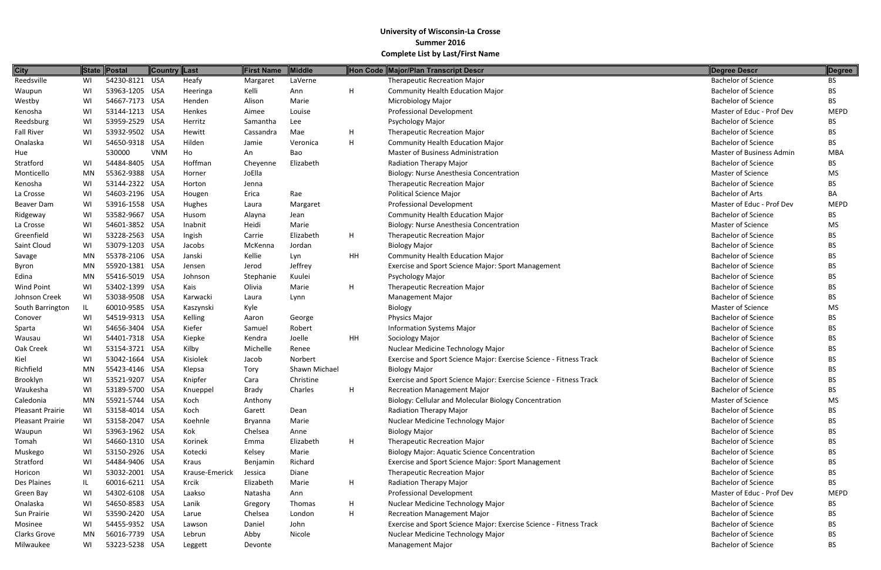| <b>City</b>       |           | State Postal   | <b>Country Last</b> |                | <b>First Name</b> | Middle        |           | Hon Code Major/Plan Transcript Descr                               | Degree Descr               | Degree      |
|-------------------|-----------|----------------|---------------------|----------------|-------------------|---------------|-----------|--------------------------------------------------------------------|----------------------------|-------------|
| Reedsville        | WI        | 54230-8121 USA |                     | Heafy          | Margaret          | LaVerne       |           | <b>Therapeutic Recreation Major</b>                                | <b>Bachelor of Science</b> | BS.         |
| Waupun            | WI        | 53963-1205 USA |                     | Heeringa       | Kelli             | Ann           | H         | <b>Community Health Education Major</b>                            | <b>Bachelor of Science</b> | BS.         |
| Westby            | WI        | 54667-7173 USA |                     | Henden         | Alison            | Marie         |           | Microbiology Major                                                 | <b>Bachelor of Science</b> | BS.         |
| Kenosha           | WI        | 53144-1213 USA |                     | Henkes         | Aimee             | Louise        |           | Professional Development                                           | Master of Educ - Prof Dev  | <b>MEPD</b> |
| Reedsburg         | WI        | 53959-2529 USA |                     | Herritz        | Samantha          | Lee           |           | Psychology Major                                                   | <b>Bachelor of Science</b> | BS.         |
| <b>Fall River</b> | WI        | 53932-9502 USA |                     | Hewitt         | Cassandra         | Mae           | Н         | <b>Therapeutic Recreation Major</b>                                | <b>Bachelor of Science</b> | ВS          |
| Onalaska          | WI        | 54650-9318 USA |                     | Hilden         | Jamie             | Veronica      | H         | <b>Community Health Education Major</b>                            | <b>Bachelor of Science</b> | BS.         |
| Hue               |           | 530000         | <b>VNM</b>          | Ho             | An                | Bao           |           | Master of Business Administration                                  | Master of Business Admin   | <b>MBA</b>  |
| Stratford         | WI        | 54484-8405 USA |                     | Hoffman        | Cheyenne          | Elizabeth     |           | Radiation Therapy Major                                            | <b>Bachelor of Science</b> | BS.         |
| Monticello        | MN        | 55362-9388 USA |                     | Horner         | JoElla            |               |           | Biology: Nurse Anesthesia Concentration                            | <b>Master of Science</b>   | MS.         |
| Kenosha           | WI        | 53144-2322 USA |                     | Horton         | Jenna             |               |           | <b>Therapeutic Recreation Major</b>                                | <b>Bachelor of Science</b> | BS.         |
| La Crosse         | WI        | 54603-2196 USA |                     | Hougen         | Erica             | Rae           |           | Political Science Major                                            | <b>Bachelor of Arts</b>    | BA          |
| Beaver Dam        | WI        | 53916-1558 USA |                     | Hughes         | Laura             | Margaret      |           | <b>Professional Development</b>                                    | Master of Educ - Prof Dev  | <b>MEPD</b> |
| Ridgeway          | WI        | 53582-9667 USA |                     | Husom          | Alayna            | Jean          |           | <b>Community Health Education Major</b>                            | <b>Bachelor of Science</b> | BS.         |
| La Crosse         | WI        | 54601-3852 USA |                     | Inabnit        | Heidi             | Marie         |           | Biology: Nurse Anesthesia Concentration                            | <b>Master of Science</b>   | MS          |
| Greenfield        | WI        | 53228-2563 USA |                     | Ingish         | Carrie            | Elizabeth     | Н         | <b>Therapeutic Recreation Major</b>                                | <b>Bachelor of Science</b> | BS.         |
| Saint Cloud       | WI        | 53079-1203 USA |                     | Jacobs         | McKenna           | Jordan        |           | <b>Biology Major</b>                                               | <b>Bachelor of Science</b> | BS.         |
| Savage            | MN        | 55378-2106 USA |                     | Janski         | Kellie            | Lyn           | HH        | <b>Community Health Education Major</b>                            | <b>Bachelor of Science</b> | BS.         |
| Byron             | MN        | 55920-1381 USA |                     | Jensen         | Jerod             | Jeffrey       |           | Exercise and Sport Science Major: Sport Management                 | <b>Bachelor of Science</b> | BS.         |
| Edina             | <b>MN</b> | 55416-5019 USA |                     | Johnson        | Stephanie         | Kuulei        |           | Psychology Major                                                   | <b>Bachelor of Science</b> | BS.         |
| <b>Wind Point</b> | WI        | 53402-1399 USA |                     | Kais           | Olivia            | Marie         | Н         | <b>Therapeutic Recreation Major</b>                                | <b>Bachelor of Science</b> | BS.         |
| Johnson Creek     | WI        | 53038-9508 USA |                     | Karwacki       | Laura             | Lynn          |           | <b>Management Major</b>                                            | <b>Bachelor of Science</b> | BS.         |
| South Barrington  | IL        | 60010-9585 USA |                     | Kaszynski      | Kyle              |               |           | Biology                                                            | <b>Master of Science</b>   | <b>MS</b>   |
| Conover           | WI        | 54519-9313 USA |                     | Kelling        | Aaron             | George        |           | Physics Major                                                      | <b>Bachelor of Science</b> | BS.         |
| Sparta            | WI        | 54656-3404 USA |                     | Kiefer         | Samuel            | Robert        |           | <b>Information Systems Major</b>                                   | <b>Bachelor of Science</b> | BS.         |
| Wausau            | WI        | 54401-7318 USA |                     | Kiepke         | Kendra            | Joelle        | <b>HH</b> | Sociology Major                                                    | <b>Bachelor of Science</b> | BS.         |
| Oak Creek         | WI        | 53154-3721 USA |                     | Kilby          | Michelle          | Renee         |           | Nuclear Medicine Technology Major                                  | <b>Bachelor of Science</b> | BS.         |
| Kiel              | WI        | 53042-1664 USA |                     | Kisiolek       | Jacob             | Norbert       |           | Exercise and Sport Science Major: Exercise Science - Fitness Track | <b>Bachelor of Science</b> | BS.         |
| Richfield         | <b>MN</b> | 55423-4146 USA |                     | Klepsa         | Tory              | Shawn Michael |           | <b>Biology Major</b>                                               | <b>Bachelor of Science</b> | ВS          |
| Brooklyn          | WI        | 53521-9207 USA |                     | Knipfer        | Cara              | Christine     |           | Exercise and Sport Science Major: Exercise Science - Fitness Track | <b>Bachelor of Science</b> | BS.         |
| Waukesha          | WI        | 53189-5700 USA |                     | Knueppel       | <b>Brady</b>      | Charles       | H         | <b>Recreation Management Major</b>                                 | <b>Bachelor of Science</b> | ВS          |
| Caledonia         | MN        | 55921-5744 USA |                     | Koch           | Anthony           |               |           | Biology: Cellular and Molecular Biology Concentration              | Master of Science          | MS.         |
| Pleasant Prairie  | WI        | 53158-4014 USA |                     | Koch           | Garett            | Dean          |           | <b>Radiation Therapy Major</b>                                     | <b>Bachelor of Science</b> | BS.         |
| Pleasant Prairie  | WI        | 53158-2047 USA |                     | Koehnle        | Bryanna           | Marie         |           | Nuclear Medicine Technology Major                                  | <b>Bachelor of Science</b> | BS.         |
| Waupun            | WI        | 53963-1962 USA |                     | Kok            | Chelsea           | Anne          |           | <b>Biology Major</b>                                               | <b>Bachelor of Science</b> | BS.         |
| Tomah             | WI        | 54660-1310 USA |                     | Korinek        | Emma              | Elizabeth     | H         | <b>Therapeutic Recreation Major</b>                                | <b>Bachelor of Science</b> | BS.         |
| Muskego           | WI        | 53150-2926 USA |                     | Kotecki        | Kelsey            | Marie         |           | <b>Biology Major: Aquatic Science Concentration</b>                | <b>Bachelor of Science</b> | BS.         |
| Stratford         | WI        | 54484-9406 USA |                     | Kraus          | Benjamin          | Richard       |           | Exercise and Sport Science Major: Sport Management                 | <b>Bachelor of Science</b> | BS.         |
| Horicon           | WI        | 53032-2001 USA |                     | Krause-Emerick | Jessica           | Diane         |           | <b>Therapeutic Recreation Major</b>                                | <b>Bachelor of Science</b> | BS.         |
| Des Plaines       | IL        | 60016-6211 USA |                     | Krcik          | Elizabeth         | Marie         | Н         | Radiation Therapy Major                                            | <b>Bachelor of Science</b> | BS.         |
| Green Bay         | WI        | 54302-6108 USA |                     | Laakso         | Natasha           | Ann           |           | <b>Professional Development</b>                                    | Master of Educ - Prof Dev  | <b>MEPD</b> |
| Onalaska          | WI        | 54650-8583 USA |                     | Lanik          | Gregory           | Thomas        | H         | Nuclear Medicine Technology Major                                  | <b>Bachelor of Science</b> | BS.         |
| Sun Prairie       | WI        | 53590-2420 USA |                     | Larue          | Chelsea           | London        | Н         | <b>Recreation Management Major</b>                                 | <b>Bachelor of Science</b> | BS          |
| Mosinee           | WI        | 54455-9352 USA |                     | Lawson         | Daniel            | John          |           | Exercise and Sport Science Major: Exercise Science - Fitness Track | <b>Bachelor of Science</b> | <b>BS</b>   |
| Clarks Grove      | MN        | 56016-7739 USA |                     | Lebrun         | Abby              | Nicole        |           | Nuclear Medicine Technology Major                                  | <b>Bachelor of Science</b> | BS.         |
| Milwaukee         | WI        | 53223-5238 USA |                     | Leggett        | Devonte           |               |           | <b>Management Major</b>                                            | <b>Bachelor of Science</b> | <b>BS</b>   |

| <b>Degree Descr</b>             | Degree      |
|---------------------------------|-------------|
| <b>Bachelor of Science</b>      | <b>BS</b>   |
| <b>Bachelor of Science</b>      | <b>BS</b>   |
| <b>Bachelor of Science</b>      | <b>BS</b>   |
| Master of Educ - Prof Dev       | <b>MEPD</b> |
| <b>Bachelor of Science</b>      | BS.         |
| <b>Bachelor of Science</b>      | BS.         |
| <b>Bachelor of Science</b>      | BS.         |
| <b>Master of Business Admin</b> | <b>MBA</b>  |
| <b>Bachelor of Science</b>      | BS.         |
| <b>Master of Science</b>        | МS          |
| <b>Bachelor of Science</b>      | BS.         |
| <b>Bachelor of Arts</b>         | BА          |
| Master of Educ - Prof Dev       | <b>MEPD</b> |
| <b>Bachelor of Science</b>      | BS.         |
| Master of Science               | МS          |
| <b>Bachelor of Science</b>      | <b>BS</b>   |
| <b>Bachelor of Science</b>      | <b>BS</b>   |
| Bachelor of Science             | <b>BS</b>   |
| <b>Bachelor of Science</b>      | <b>BS</b>   |
| <b>Bachelor of Science</b>      | <b>BS</b>   |
| <b>Bachelor of Science</b>      | <b>BS</b>   |
| <b>Bachelor of Science</b>      | <b>BS</b>   |
| Master of Science               | MS          |
| <b>Bachelor of Science</b>      | BS.         |
| <b>Bachelor of Science</b>      | BS          |
| <b>Bachelor of Science</b>      | <b>BS</b>   |
| <b>Bachelor of Science</b>      | <b>BS</b>   |
| <b>Bachelor of Science</b>      | <b>BS</b>   |
| <b>Bachelor of Science</b>      | <b>BS</b>   |
| <b>Bachelor of Science</b>      | BS          |
| <b>Bachelor of Science</b>      | ВS          |
| Master of Science               | MS          |
| <b>Bachelor of Science</b>      | <b>BS</b>   |
| <b>Bachelor of Science</b>      | <b>BS</b>   |
| <b>Bachelor of Science</b>      | <b>BS</b>   |
| <b>Bachelor of Science</b>      | <b>BS</b>   |
| <b>Bachelor of Science</b>      | <b>BS</b>   |
| <b>Bachelor of Science</b>      | <b>BS</b>   |
| <b>Bachelor of Science</b>      | <b>BS</b>   |
| <b>Bachelor of Science</b>      | <b>BS</b>   |
| Master of Educ - Prof Dev       | <b>MEPD</b> |
| <b>Bachelor of Science</b>      | <b>BS</b>   |
| <b>Bachelor of Science</b>      | <b>BS</b>   |
| <b>Bachelor of Science</b>      | <b>BS</b>   |
| <b>Bachelor of Science</b>      | <b>BS</b>   |
| <b>Bachelor of Science</b>      | BS          |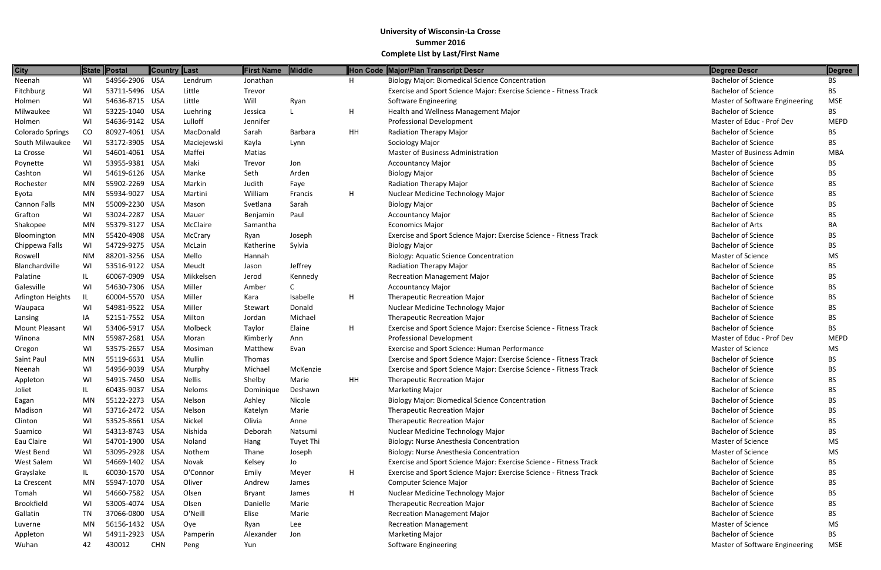| <b>City</b>             |           | State Postal   | Country Last |               | First Name | <b>Middle</b> |    | Hon Code Major/Plan Transcript Descr                               | Degree Descr                    | Degree      |
|-------------------------|-----------|----------------|--------------|---------------|------------|---------------|----|--------------------------------------------------------------------|---------------------------------|-------------|
| Neenah                  | WI        | 54956-2906 USA |              | Lendrum       | Jonathan   |               | н  | <b>Biology Major: Biomedical Science Concentration</b>             | <b>Bachelor of Science</b>      | BS          |
| Fitchburg               | WI        | 53711-5496 USA |              | Little        | Trevor     |               |    | Exercise and Sport Science Major: Exercise Science - Fitness Track | <b>Bachelor of Science</b>      | BS.         |
| Holmen                  | WI        | 54636-8715 USA |              | Little        | Will       | Ryan          |    | Software Engineering                                               | Master of Software Engineering  | <b>MSE</b>  |
| Milwaukee               | WI        | 53225-1040 USA |              | Luehring      | Jessica    |               | н  | Health and Wellness Management Major                               | <b>Bachelor of Science</b>      | <b>BS</b>   |
| Holmen                  | WI        | 54636-9142 USA |              | Lulloff       | Jennifer   |               |    | <b>Professional Development</b>                                    | Master of Educ - Prof Dev       | <b>MEPD</b> |
| <b>Colorado Springs</b> | CO        | 80927-4061 USA |              | MacDonald     | Sarah      | Barbara       | HH | Radiation Therapy Major                                            | <b>Bachelor of Science</b>      | BS          |
| South Milwaukee         | WI        | 53172-3905 USA |              | Maciejewski   | Kayla      | Lynn          |    | Sociology Major                                                    | <b>Bachelor of Science</b>      | BS.         |
| La Crosse               | WI        | 54601-4061 USA |              | Maffei        | Matias     |               |    | Master of Business Administration                                  | <b>Master of Business Admin</b> | <b>MBA</b>  |
| Poynette                | WI        | 53955-9381 USA |              | Maki          | Trevor     | Jon           |    | <b>Accountancy Major</b>                                           | <b>Bachelor of Science</b>      | <b>BS</b>   |
| Cashton                 | WI        | 54619-6126 USA |              | Manke         | Seth       | Arden         |    | <b>Biology Major</b>                                               | <b>Bachelor of Science</b>      | BS.         |
| Rochester               | MN        | 55902-2269 USA |              | Markin        | Judith     | Faye          |    | Radiation Therapy Major                                            | <b>Bachelor of Science</b>      | BS.         |
| Eyota                   | MN        | 55934-9027 USA |              | Martini       | William    | Francis       | H  | Nuclear Medicine Technology Major                                  | <b>Bachelor of Science</b>      | BS.         |
| Cannon Falls            | MN        | 55009-2230 USA |              | Mason         | Svetlana   | Sarah         |    | <b>Biology Major</b>                                               | <b>Bachelor of Science</b>      | BS.         |
| Grafton                 | WI        | 53024-2287 USA |              | Mauer         | Benjamin   | Paul          |    | <b>Accountancy Major</b>                                           | <b>Bachelor of Science</b>      | BS.         |
| Shakopee                | MN        | 55379-3127 USA |              | McClaire      | Samantha   |               |    | <b>Economics Major</b>                                             | <b>Bachelor of Arts</b>         | BA          |
| Bloomington             | MN        | 55420-4908 USA |              | McCrary       | Ryan       | Joseph        |    | Exercise and Sport Science Major: Exercise Science - Fitness Track | <b>Bachelor of Science</b>      | BS.         |
| Chippewa Falls          | WI        | 54729-9275 USA |              | McLain        | Katherine  | Sylvia        |    | <b>Biology Major</b>                                               | <b>Bachelor of Science</b>      | <b>BS</b>   |
| Roswell                 | <b>NM</b> | 88201-3256 USA |              | Mello         | Hannah     |               |    | <b>Biology: Aquatic Science Concentration</b>                      | Master of Science               | <b>MS</b>   |
| Blanchardville          | WI        | 53516-9122 USA |              | Meudt         | Jason      | Jeffrey       |    | Radiation Therapy Major                                            | <b>Bachelor of Science</b>      | BS.         |
| Palatine                | IL.       | 60067-0909 USA |              | Mikkelsen     | Jerod      | Kennedy       |    | <b>Recreation Management Major</b>                                 | <b>Bachelor of Science</b>      | BS.         |
| Galesville              | WI        | 54630-7306 USA |              | Miller        | Amber      |               |    | <b>Accountancy Major</b>                                           | <b>Bachelor of Science</b>      | BS.         |
| Arlington Heights       | IL        | 60004-5570 USA |              | Miller        | Kara       | Isabelle      | н  | <b>Therapeutic Recreation Major</b>                                | <b>Bachelor of Science</b>      | BS.         |
| Waupaca                 | WI        | 54981-9522 USA |              | Miller        | Stewart    | Donald        |    | Nuclear Medicine Technology Major                                  | <b>Bachelor of Science</b>      | BS.         |
| Lansing                 | IA        | 52151-7552 USA |              | Milton        | Jordan     | Michael       |    | <b>Therapeutic Recreation Major</b>                                | <b>Bachelor of Science</b>      | <b>BS</b>   |
| Mount Pleasant          | WI        | 53406-5917 USA |              | Molbeck       | Taylor     | Elaine        | н  | Exercise and Sport Science Major: Exercise Science - Fitness Track | <b>Bachelor of Science</b>      | BS.         |
| Winona                  | MN        | 55987-2681 USA |              | Moran         | Kimberly   | Ann           |    | <b>Professional Development</b>                                    | Master of Educ - Prof Dev       | <b>MEPD</b> |
| Oregon                  | WI        | 53575-2657 USA |              | Mosiman       | Matthew    | Evan          |    | <b>Exercise and Sport Science: Human Performance</b>               | Master of Science               | <b>MS</b>   |
| Saint Paul              | MN        | 55119-6631 USA |              | Mullin        | Thomas     |               |    | Exercise and Sport Science Major: Exercise Science - Fitness Track | <b>Bachelor of Science</b>      | ВS          |
| Neenah                  | WI        | 54956-9039 USA |              | Murphy        | Michael    | McKenzie      |    | Exercise and Sport Science Major: Exercise Science - Fitness Track | <b>Bachelor of Science</b>      | <b>BS</b>   |
| Appleton                | WI        | 54915-7450 USA |              | <b>Nellis</b> | Shelby     | Marie         | HH | <b>Therapeutic Recreation Major</b>                                | <b>Bachelor of Science</b>      | ВS          |
| Joliet                  |           | 60435-9037 USA |              | Neloms        | Dominique  | Deshawn       |    | <b>Marketing Major</b>                                             | <b>Bachelor of Science</b>      | BS.         |
| Eagan                   | MN        | 55122-2273 USA |              | Nelson        | Ashley     | Nicole        |    | <b>Biology Major: Biomedical Science Concentration</b>             | <b>Bachelor of Science</b>      | BS.         |
| Madison                 | WI        | 53716-2472 USA |              | Nelson        | Katelyn    | Marie         |    | <b>Therapeutic Recreation Major</b>                                | <b>Bachelor of Science</b>      | ВS          |
| Clinton                 | WI        | 53525-8661 USA |              | Nickel        | Olivia     | Anne          |    | <b>Therapeutic Recreation Major</b>                                | <b>Bachelor of Science</b>      | BS.         |
| Suamico                 | WI        | 54313-8743 USA |              | Nishida       | Deborah    | Natsumi       |    | Nuclear Medicine Technology Major                                  | <b>Bachelor of Science</b>      | BS.         |
| Eau Claire              | WI        | 54701-1900 USA |              | Noland        | Hang       | Tuyet Thi     |    | Biology: Nurse Anesthesia Concentration                            | Master of Science               | MS.         |
| West Bend               | WI        | 53095-2928 USA |              | Nothem        | Thane      | Joseph        |    | Biology: Nurse Anesthesia Concentration                            | Master of Science               | MS.         |
| West Salem              | WI        | 54669-1402 USA |              | Novak         | Kelsey     | Jo            |    | Exercise and Sport Science Major: Exercise Science - Fitness Track | <b>Bachelor of Science</b>      | BS.         |
| Grayslake               | IL.       | 60030-1570 USA |              | O'Connor      | Emily      | Meyer         | H  | Exercise and Sport Science Major: Exercise Science - Fitness Track | <b>Bachelor of Science</b>      | BS.         |
| La Crescent             | MN        | 55947-1070 USA |              | Oliver        | Andrew     | James         |    | Computer Science Major                                             | <b>Bachelor of Science</b>      | BS.         |
| Tomah                   | WI        | 54660-7582 USA |              | Olsen         | Bryant     | James         | H  | Nuclear Medicine Technology Major                                  | <b>Bachelor of Science</b>      | BS.         |
| <b>Brookfield</b>       | WI        | 53005-4074 USA |              | Olsen         | Danielle   | Marie         |    | <b>Therapeutic Recreation Major</b>                                | <b>Bachelor of Science</b>      | BS.         |
| Gallatin                | TN        | 37066-0800 USA |              | O'Neill       | Elise      | Marie         |    | <b>Recreation Management Major</b>                                 | <b>Bachelor of Science</b>      | BS.         |
| Luverne                 | MN        | 56156-1432 USA |              | Oye           | Ryan       | Lee           |    | <b>Recreation Management</b>                                       | Master of Science               | MS          |
| Appleton                | WI        | 54911-2923 USA |              | Pamperin      | Alexander  | Jon           |    | <b>Marketing Major</b>                                             | <b>Bachelor of Science</b>      | BS.         |
| Wuhan                   | 42        | 430012         | <b>CHN</b>   | Peng          | Yun        |               |    | Software Engineering                                               | Master of Software Engineering  | MSE         |

| Bachelor of Science<br>BS.<br><b>Bachelor of Science</b><br><b>BS</b><br>Master of Software Engineering<br><b>MSE</b><br><b>Bachelor of Science</b><br>BS.<br>Master of Educ - Prof Dev<br><b>MEPD</b><br><b>Bachelor of Science</b><br>BS.<br><b>Bachelor of Science</b><br><b>BS</b><br>Master of Business Admin<br><b>MBA</b><br><b>Bachelor of Science</b><br>BS<br><b>Bachelor of Science</b><br>BS.<br><b>Bachelor of Science</b><br>BS.<br><b>Bachelor of Science</b><br><b>BS</b><br><b>Bachelor of Science</b><br><b>BS</b><br><b>Bachelor of Science</b><br><b>BS</b><br><b>Bachelor of Arts</b><br>BА<br><b>Bachelor of Science</b><br><b>BS</b><br><b>Bachelor of Science</b><br>BS<br>Master of Science<br><b>MS</b><br><b>Bachelor of Science</b><br>BS.<br><b>Bachelor of Science</b><br><b>BS</b><br><b>Bachelor of Science</b><br><b>BS</b><br><b>Bachelor of Science</b><br><b>BS</b><br><b>Bachelor of Science</b><br><b>BS</b><br><b>Bachelor of Science</b><br><b>BS</b><br><b>Bachelor of Science</b><br>BS.<br>Master of Educ - Prof Dev<br><b>MEPD</b><br><b>Master of Science</b><br>MS<br><b>Bachelor of Science</b><br><b>BS</b><br><b>Bachelor of Science</b><br><b>BS</b><br><b>Bachelor of Science</b><br>BS<br><b>Bachelor of Science</b><br>BS<br><b>Bachelor of Science</b><br><b>BS</b><br><b>Bachelor of Science</b><br><b>BS</b><br><b>Bachelor of Science</b><br><b>BS</b><br><b>Bachelor of Science</b><br><b>BS</b><br><b>MS</b><br><b>Master of Science</b><br><b>Master of Science</b><br><b>MS</b><br><b>Bachelor of Science</b><br><b>BS</b><br><b>Bachelor of Science</b><br><b>BS</b><br><b>Bachelor of Science</b><br><b>BS</b><br><b>BS</b><br><b>Bachelor of Science</b><br><b>Bachelor of Science</b><br><b>BS</b><br><b>Bachelor of Science</b><br><b>BS</b><br><b>Master of Science</b><br><b>MS</b><br><b>Bachelor of Science</b><br><b>BS</b> | <b>Degree Descr</b>            | <b>Degree</b> |
|----------------------------------------------------------------------------------------------------------------------------------------------------------------------------------------------------------------------------------------------------------------------------------------------------------------------------------------------------------------------------------------------------------------------------------------------------------------------------------------------------------------------------------------------------------------------------------------------------------------------------------------------------------------------------------------------------------------------------------------------------------------------------------------------------------------------------------------------------------------------------------------------------------------------------------------------------------------------------------------------------------------------------------------------------------------------------------------------------------------------------------------------------------------------------------------------------------------------------------------------------------------------------------------------------------------------------------------------------------------------------------------------------------------------------------------------------------------------------------------------------------------------------------------------------------------------------------------------------------------------------------------------------------------------------------------------------------------------------------------------------------------------------------------------------------------------------------------------------------------------------------------------------|--------------------------------|---------------|
|                                                                                                                                                                                                                                                                                                                                                                                                                                                                                                                                                                                                                                                                                                                                                                                                                                                                                                                                                                                                                                                                                                                                                                                                                                                                                                                                                                                                                                                                                                                                                                                                                                                                                                                                                                                                                                                                                                    |                                |               |
|                                                                                                                                                                                                                                                                                                                                                                                                                                                                                                                                                                                                                                                                                                                                                                                                                                                                                                                                                                                                                                                                                                                                                                                                                                                                                                                                                                                                                                                                                                                                                                                                                                                                                                                                                                                                                                                                                                    |                                |               |
|                                                                                                                                                                                                                                                                                                                                                                                                                                                                                                                                                                                                                                                                                                                                                                                                                                                                                                                                                                                                                                                                                                                                                                                                                                                                                                                                                                                                                                                                                                                                                                                                                                                                                                                                                                                                                                                                                                    |                                |               |
|                                                                                                                                                                                                                                                                                                                                                                                                                                                                                                                                                                                                                                                                                                                                                                                                                                                                                                                                                                                                                                                                                                                                                                                                                                                                                                                                                                                                                                                                                                                                                                                                                                                                                                                                                                                                                                                                                                    |                                |               |
|                                                                                                                                                                                                                                                                                                                                                                                                                                                                                                                                                                                                                                                                                                                                                                                                                                                                                                                                                                                                                                                                                                                                                                                                                                                                                                                                                                                                                                                                                                                                                                                                                                                                                                                                                                                                                                                                                                    |                                |               |
|                                                                                                                                                                                                                                                                                                                                                                                                                                                                                                                                                                                                                                                                                                                                                                                                                                                                                                                                                                                                                                                                                                                                                                                                                                                                                                                                                                                                                                                                                                                                                                                                                                                                                                                                                                                                                                                                                                    |                                |               |
|                                                                                                                                                                                                                                                                                                                                                                                                                                                                                                                                                                                                                                                                                                                                                                                                                                                                                                                                                                                                                                                                                                                                                                                                                                                                                                                                                                                                                                                                                                                                                                                                                                                                                                                                                                                                                                                                                                    |                                |               |
|                                                                                                                                                                                                                                                                                                                                                                                                                                                                                                                                                                                                                                                                                                                                                                                                                                                                                                                                                                                                                                                                                                                                                                                                                                                                                                                                                                                                                                                                                                                                                                                                                                                                                                                                                                                                                                                                                                    |                                |               |
|                                                                                                                                                                                                                                                                                                                                                                                                                                                                                                                                                                                                                                                                                                                                                                                                                                                                                                                                                                                                                                                                                                                                                                                                                                                                                                                                                                                                                                                                                                                                                                                                                                                                                                                                                                                                                                                                                                    |                                |               |
|                                                                                                                                                                                                                                                                                                                                                                                                                                                                                                                                                                                                                                                                                                                                                                                                                                                                                                                                                                                                                                                                                                                                                                                                                                                                                                                                                                                                                                                                                                                                                                                                                                                                                                                                                                                                                                                                                                    |                                |               |
|                                                                                                                                                                                                                                                                                                                                                                                                                                                                                                                                                                                                                                                                                                                                                                                                                                                                                                                                                                                                                                                                                                                                                                                                                                                                                                                                                                                                                                                                                                                                                                                                                                                                                                                                                                                                                                                                                                    |                                |               |
|                                                                                                                                                                                                                                                                                                                                                                                                                                                                                                                                                                                                                                                                                                                                                                                                                                                                                                                                                                                                                                                                                                                                                                                                                                                                                                                                                                                                                                                                                                                                                                                                                                                                                                                                                                                                                                                                                                    |                                |               |
|                                                                                                                                                                                                                                                                                                                                                                                                                                                                                                                                                                                                                                                                                                                                                                                                                                                                                                                                                                                                                                                                                                                                                                                                                                                                                                                                                                                                                                                                                                                                                                                                                                                                                                                                                                                                                                                                                                    |                                |               |
|                                                                                                                                                                                                                                                                                                                                                                                                                                                                                                                                                                                                                                                                                                                                                                                                                                                                                                                                                                                                                                                                                                                                                                                                                                                                                                                                                                                                                                                                                                                                                                                                                                                                                                                                                                                                                                                                                                    |                                |               |
|                                                                                                                                                                                                                                                                                                                                                                                                                                                                                                                                                                                                                                                                                                                                                                                                                                                                                                                                                                                                                                                                                                                                                                                                                                                                                                                                                                                                                                                                                                                                                                                                                                                                                                                                                                                                                                                                                                    |                                |               |
|                                                                                                                                                                                                                                                                                                                                                                                                                                                                                                                                                                                                                                                                                                                                                                                                                                                                                                                                                                                                                                                                                                                                                                                                                                                                                                                                                                                                                                                                                                                                                                                                                                                                                                                                                                                                                                                                                                    |                                |               |
|                                                                                                                                                                                                                                                                                                                                                                                                                                                                                                                                                                                                                                                                                                                                                                                                                                                                                                                                                                                                                                                                                                                                                                                                                                                                                                                                                                                                                                                                                                                                                                                                                                                                                                                                                                                                                                                                                                    |                                |               |
|                                                                                                                                                                                                                                                                                                                                                                                                                                                                                                                                                                                                                                                                                                                                                                                                                                                                                                                                                                                                                                                                                                                                                                                                                                                                                                                                                                                                                                                                                                                                                                                                                                                                                                                                                                                                                                                                                                    |                                |               |
|                                                                                                                                                                                                                                                                                                                                                                                                                                                                                                                                                                                                                                                                                                                                                                                                                                                                                                                                                                                                                                                                                                                                                                                                                                                                                                                                                                                                                                                                                                                                                                                                                                                                                                                                                                                                                                                                                                    |                                |               |
|                                                                                                                                                                                                                                                                                                                                                                                                                                                                                                                                                                                                                                                                                                                                                                                                                                                                                                                                                                                                                                                                                                                                                                                                                                                                                                                                                                                                                                                                                                                                                                                                                                                                                                                                                                                                                                                                                                    |                                |               |
|                                                                                                                                                                                                                                                                                                                                                                                                                                                                                                                                                                                                                                                                                                                                                                                                                                                                                                                                                                                                                                                                                                                                                                                                                                                                                                                                                                                                                                                                                                                                                                                                                                                                                                                                                                                                                                                                                                    |                                |               |
|                                                                                                                                                                                                                                                                                                                                                                                                                                                                                                                                                                                                                                                                                                                                                                                                                                                                                                                                                                                                                                                                                                                                                                                                                                                                                                                                                                                                                                                                                                                                                                                                                                                                                                                                                                                                                                                                                                    |                                |               |
|                                                                                                                                                                                                                                                                                                                                                                                                                                                                                                                                                                                                                                                                                                                                                                                                                                                                                                                                                                                                                                                                                                                                                                                                                                                                                                                                                                                                                                                                                                                                                                                                                                                                                                                                                                                                                                                                                                    |                                |               |
|                                                                                                                                                                                                                                                                                                                                                                                                                                                                                                                                                                                                                                                                                                                                                                                                                                                                                                                                                                                                                                                                                                                                                                                                                                                                                                                                                                                                                                                                                                                                                                                                                                                                                                                                                                                                                                                                                                    |                                |               |
|                                                                                                                                                                                                                                                                                                                                                                                                                                                                                                                                                                                                                                                                                                                                                                                                                                                                                                                                                                                                                                                                                                                                                                                                                                                                                                                                                                                                                                                                                                                                                                                                                                                                                                                                                                                                                                                                                                    |                                |               |
|                                                                                                                                                                                                                                                                                                                                                                                                                                                                                                                                                                                                                                                                                                                                                                                                                                                                                                                                                                                                                                                                                                                                                                                                                                                                                                                                                                                                                                                                                                                                                                                                                                                                                                                                                                                                                                                                                                    |                                |               |
|                                                                                                                                                                                                                                                                                                                                                                                                                                                                                                                                                                                                                                                                                                                                                                                                                                                                                                                                                                                                                                                                                                                                                                                                                                                                                                                                                                                                                                                                                                                                                                                                                                                                                                                                                                                                                                                                                                    |                                |               |
|                                                                                                                                                                                                                                                                                                                                                                                                                                                                                                                                                                                                                                                                                                                                                                                                                                                                                                                                                                                                                                                                                                                                                                                                                                                                                                                                                                                                                                                                                                                                                                                                                                                                                                                                                                                                                                                                                                    |                                |               |
|                                                                                                                                                                                                                                                                                                                                                                                                                                                                                                                                                                                                                                                                                                                                                                                                                                                                                                                                                                                                                                                                                                                                                                                                                                                                                                                                                                                                                                                                                                                                                                                                                                                                                                                                                                                                                                                                                                    |                                |               |
|                                                                                                                                                                                                                                                                                                                                                                                                                                                                                                                                                                                                                                                                                                                                                                                                                                                                                                                                                                                                                                                                                                                                                                                                                                                                                                                                                                                                                                                                                                                                                                                                                                                                                                                                                                                                                                                                                                    |                                |               |
|                                                                                                                                                                                                                                                                                                                                                                                                                                                                                                                                                                                                                                                                                                                                                                                                                                                                                                                                                                                                                                                                                                                                                                                                                                                                                                                                                                                                                                                                                                                                                                                                                                                                                                                                                                                                                                                                                                    |                                |               |
|                                                                                                                                                                                                                                                                                                                                                                                                                                                                                                                                                                                                                                                                                                                                                                                                                                                                                                                                                                                                                                                                                                                                                                                                                                                                                                                                                                                                                                                                                                                                                                                                                                                                                                                                                                                                                                                                                                    |                                |               |
|                                                                                                                                                                                                                                                                                                                                                                                                                                                                                                                                                                                                                                                                                                                                                                                                                                                                                                                                                                                                                                                                                                                                                                                                                                                                                                                                                                                                                                                                                                                                                                                                                                                                                                                                                                                                                                                                                                    |                                |               |
|                                                                                                                                                                                                                                                                                                                                                                                                                                                                                                                                                                                                                                                                                                                                                                                                                                                                                                                                                                                                                                                                                                                                                                                                                                                                                                                                                                                                                                                                                                                                                                                                                                                                                                                                                                                                                                                                                                    |                                |               |
|                                                                                                                                                                                                                                                                                                                                                                                                                                                                                                                                                                                                                                                                                                                                                                                                                                                                                                                                                                                                                                                                                                                                                                                                                                                                                                                                                                                                                                                                                                                                                                                                                                                                                                                                                                                                                                                                                                    |                                |               |
|                                                                                                                                                                                                                                                                                                                                                                                                                                                                                                                                                                                                                                                                                                                                                                                                                                                                                                                                                                                                                                                                                                                                                                                                                                                                                                                                                                                                                                                                                                                                                                                                                                                                                                                                                                                                                                                                                                    |                                |               |
|                                                                                                                                                                                                                                                                                                                                                                                                                                                                                                                                                                                                                                                                                                                                                                                                                                                                                                                                                                                                                                                                                                                                                                                                                                                                                                                                                                                                                                                                                                                                                                                                                                                                                                                                                                                                                                                                                                    |                                |               |
|                                                                                                                                                                                                                                                                                                                                                                                                                                                                                                                                                                                                                                                                                                                                                                                                                                                                                                                                                                                                                                                                                                                                                                                                                                                                                                                                                                                                                                                                                                                                                                                                                                                                                                                                                                                                                                                                                                    |                                |               |
|                                                                                                                                                                                                                                                                                                                                                                                                                                                                                                                                                                                                                                                                                                                                                                                                                                                                                                                                                                                                                                                                                                                                                                                                                                                                                                                                                                                                                                                                                                                                                                                                                                                                                                                                                                                                                                                                                                    |                                |               |
|                                                                                                                                                                                                                                                                                                                                                                                                                                                                                                                                                                                                                                                                                                                                                                                                                                                                                                                                                                                                                                                                                                                                                                                                                                                                                                                                                                                                                                                                                                                                                                                                                                                                                                                                                                                                                                                                                                    |                                |               |
|                                                                                                                                                                                                                                                                                                                                                                                                                                                                                                                                                                                                                                                                                                                                                                                                                                                                                                                                                                                                                                                                                                                                                                                                                                                                                                                                                                                                                                                                                                                                                                                                                                                                                                                                                                                                                                                                                                    |                                |               |
|                                                                                                                                                                                                                                                                                                                                                                                                                                                                                                                                                                                                                                                                                                                                                                                                                                                                                                                                                                                                                                                                                                                                                                                                                                                                                                                                                                                                                                                                                                                                                                                                                                                                                                                                                                                                                                                                                                    |                                |               |
|                                                                                                                                                                                                                                                                                                                                                                                                                                                                                                                                                                                                                                                                                                                                                                                                                                                                                                                                                                                                                                                                                                                                                                                                                                                                                                                                                                                                                                                                                                                                                                                                                                                                                                                                                                                                                                                                                                    |                                |               |
|                                                                                                                                                                                                                                                                                                                                                                                                                                                                                                                                                                                                                                                                                                                                                                                                                                                                                                                                                                                                                                                                                                                                                                                                                                                                                                                                                                                                                                                                                                                                                                                                                                                                                                                                                                                                                                                                                                    |                                |               |
|                                                                                                                                                                                                                                                                                                                                                                                                                                                                                                                                                                                                                                                                                                                                                                                                                                                                                                                                                                                                                                                                                                                                                                                                                                                                                                                                                                                                                                                                                                                                                                                                                                                                                                                                                                                                                                                                                                    | Master of Software Engineering | <b>MSE</b>    |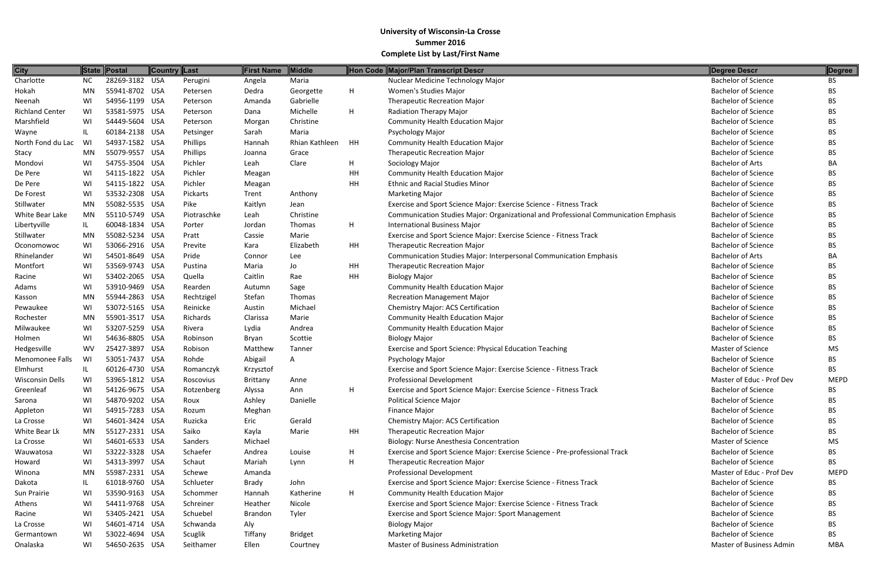| <b>City</b>            |           | State Postal   | Country Last |             | <b>First Name</b> | Middle         |           | Hon Code Major/Plan Transcript Descr                                                | Degree Descr               | Degree      |
|------------------------|-----------|----------------|--------------|-------------|-------------------|----------------|-----------|-------------------------------------------------------------------------------------|----------------------------|-------------|
| Charlotte              | <b>NC</b> | 28269-3182 USA |              | Perugini    | Angela            | Maria          |           | Nuclear Medicine Technology Major                                                   | <b>Bachelor of Science</b> | <b>BS</b>   |
| Hokah                  | <b>MN</b> | 55941-8702 USA |              | Petersen    | Dedra             | Georgette      | H.        | Women's Studies Major                                                               | <b>Bachelor of Science</b> | <b>BS</b>   |
| Neenah                 | WI        | 54956-1199 USA |              | Peterson    | Amanda            | Gabrielle      |           | <b>Therapeutic Recreation Major</b>                                                 | <b>Bachelor of Science</b> | <b>BS</b>   |
| <b>Richland Center</b> | WI        | 53581-5975 USA |              | Peterson    | Dana              | Michelle       | H.        | <b>Radiation Therapy Major</b>                                                      | <b>Bachelor of Science</b> | BS.         |
| Marshfield             | WI        | 54449-5604 USA |              | Peterson    | Morgan            | Christine      |           | <b>Community Health Education Major</b>                                             | <b>Bachelor of Science</b> | BS          |
| Wayne                  | IL        | 60184-2138 USA |              | Petsinger   | Sarah             | Maria          |           | Psychology Major                                                                    | <b>Bachelor of Science</b> | <b>BS</b>   |
| North Fond du Lac      | WI        | 54937-1582 USA |              | Phillips    | Hannah            | Rhian Kathleen | HH        | <b>Community Health Education Major</b>                                             | <b>Bachelor of Science</b> | <b>BS</b>   |
| Stacy                  | <b>MN</b> | 55079-9557 USA |              | Phillips    | Joanna            | Grace          |           | <b>Therapeutic Recreation Major</b>                                                 | <b>Bachelor of Science</b> | <b>BS</b>   |
| Mondovi                | WI        | 54755-3504 USA |              | Pichler     | Leah              | Clare          | H.        | Sociology Major                                                                     | <b>Bachelor of Arts</b>    | ВA          |
| De Pere                | WI        | 54115-1822 USA |              | Pichler     | Meagan            |                | HH        | <b>Community Health Education Major</b>                                             | <b>Bachelor of Science</b> | BS          |
| De Pere                | WI        | 54115-1822 USA |              | Pichler     | Meagan            |                | HH        | <b>Ethnic and Racial Studies Minor</b>                                              | <b>Bachelor of Science</b> | <b>BS</b>   |
| De Forest              | WI        | 53532-2308 USA |              | Pickarts    | Trent             | Anthony        |           | <b>Marketing Major</b>                                                              | <b>Bachelor of Science</b> | <b>BS</b>   |
| Stillwater             | <b>MN</b> | 55082-5535 USA |              | Pike        | Kaitlyn           | Jean           |           | Exercise and Sport Science Major: Exercise Science - Fitness Track                  | <b>Bachelor of Science</b> | <b>BS</b>   |
| White Bear Lake        | MN        | 55110-5749 USA |              | Piotraschke | Leah              | Christine      |           | Communication Studies Major: Organizational and Professional Communication Emphasis | <b>Bachelor of Science</b> | <b>BS</b>   |
|                        |           |                |              |             |                   |                |           |                                                                                     | <b>Bachelor of Science</b> |             |
| Libertyville           | IL.       | 60048-1834 USA |              | Porter      | Jordan            | Thomas         | H         | <b>International Business Major</b>                                                 |                            | <b>BS</b>   |
| Stillwater             | <b>MN</b> | 55082-5234 USA |              | Pratt       | Cassie            | Marie          |           | Exercise and Sport Science Major: Exercise Science - Fitness Track                  | <b>Bachelor of Science</b> | <b>BS</b>   |
| Oconomowoc             | WI        | 53066-2916 USA |              | Previte     | Kara              | Elizabeth      | <b>HH</b> | <b>Therapeutic Recreation Major</b>                                                 | <b>Bachelor of Science</b> | <b>BS</b>   |
| Rhinelander            | WI        | 54501-8649 USA |              | Pride       | Connor            | Lee            |           | Communication Studies Major: Interpersonal Communication Emphasis                   | <b>Bachelor of Arts</b>    | BA          |
| Montfort               | WI        | 53569-9743 USA |              | Pustina     | Maria             | Jo             | HH        | <b>Therapeutic Recreation Major</b>                                                 | <b>Bachelor of Science</b> | <b>BS</b>   |
| Racine                 | WI        | 53402-2065 USA |              | Quella      | Caitlin           | Rae            | <b>HH</b> | <b>Biology Major</b>                                                                | <b>Bachelor of Science</b> | <b>BS</b>   |
| Adams                  | WI        | 53910-9469 USA |              | Rearden     | Autumn            | Sage           |           | <b>Community Health Education Major</b>                                             | <b>Bachelor of Science</b> | <b>BS</b>   |
| Kasson                 | MN        | 55944-2863 USA |              | Rechtzigel  | Stefan            | Thomas         |           | <b>Recreation Management Major</b>                                                  | <b>Bachelor of Science</b> | BS.         |
| Pewaukee               | WI        | 53072-5165 USA |              | Reinicke    | Austin            | Michael        |           | <b>Chemistry Major: ACS Certification</b>                                           | <b>Bachelor of Science</b> | <b>BS</b>   |
| Rochester              | <b>MN</b> | 55901-3517 USA |              | Richards    | Clarissa          | Marie          |           | <b>Community Health Education Major</b>                                             | <b>Bachelor of Science</b> | <b>BS</b>   |
| Milwaukee              | WI        | 53207-5259 USA |              | Rivera      | Lydia             | Andrea         |           | <b>Community Health Education Major</b>                                             | <b>Bachelor of Science</b> | <b>BS</b>   |
| Holmen                 | WI        | 54636-8805 USA |              | Robinson    | Bryan             | Scottie        |           | <b>Biology Major</b>                                                                | <b>Bachelor of Science</b> | <b>BS</b>   |
| Hedgesville            | <b>WV</b> | 25427-3897 USA |              | Robison     | Matthew           | Tanner         |           | Exercise and Sport Science: Physical Education Teaching                             | <b>Master of Science</b>   | MS          |
| Menomonee Falls        | WI        | 53051-7437 USA |              | Rohde       | Abigail           | A              |           | Psychology Major                                                                    | <b>Bachelor of Science</b> | <b>BS</b>   |
| Elmhurst               |           | 60126-4730 USA |              | Romanczyk   | Krzysztof         |                |           | Exercise and Sport Science Major: Exercise Science - Fitness Track                  | <b>Bachelor of Science</b> | <b>BS</b>   |
| <b>Wisconsin Dells</b> | WI        | 53965-1812 USA |              | Roscovius   | Brittany          | Anne           |           | <b>Professional Development</b>                                                     | Master of Educ - Prof Dev  | <b>MEPD</b> |
| Greenleaf              | WI        | 54126-9675 USA |              | Rotzenberg  | Alyssa            | Ann            | Н.        | Exercise and Sport Science Major: Exercise Science - Fitness Track                  | <b>Bachelor of Science</b> | <b>BS</b>   |
| Sarona                 | WI        | 54870-9202 USA |              | Roux        | Ashley            | Danielle       |           | Political Science Major                                                             | <b>Bachelor of Science</b> | <b>BS</b>   |
| Appleton               | WI        | 54915-7283 USA |              | Rozum       | Meghan            |                |           | <b>Finance Major</b>                                                                | <b>Bachelor of Science</b> | BS          |
| La Crosse              | WI        | 54601-3424 USA |              | Ruzicka     | Eric              | Gerald         |           | <b>Chemistry Major: ACS Certification</b>                                           | <b>Bachelor of Science</b> | BS          |
| White Bear Lk          | MN        | 55127-2331 USA |              | Saiko       | Kayla             | Marie          | HH        | <b>Therapeutic Recreation Major</b>                                                 | <b>Bachelor of Science</b> | <b>BS</b>   |
| La Crosse              | WI        | 54601-6533 USA |              | Sanders     | Michael           |                |           | Biology: Nurse Anesthesia Concentration                                             | <b>Master of Science</b>   | MS          |
| Wauwatosa              | WI        | 53222-3328 USA |              | Schaefer    | Andrea            | Louise         | H.        | Exercise and Sport Science Major: Exercise Science - Pre-professional Track         | <b>Bachelor of Science</b> | BS.         |
| Howard                 | WI        | 54313-3997 USA |              | Schaut      | Mariah            | Lynn           | H         | Therapeutic Recreation Major                                                        | <b>Bachelor of Science</b> | <b>BS</b>   |
| Winona                 | <b>MN</b> | 55987-2331 USA |              | Schewe      | Amanda            |                |           | <b>Professional Development</b>                                                     | Master of Educ - Prof Dev  | <b>MEPD</b> |
| Dakota                 | IL        | 61018-9760 USA |              | Schlueter   | Brady             | John           |           | Exercise and Sport Science Major: Exercise Science - Fitness Track                  | <b>Bachelor of Science</b> | <b>BS</b>   |
| Sun Prairie            | WI        | 53590-9163 USA |              | Schommer    | Hannah            | Katherine      | H         | <b>Community Health Education Major</b>                                             | <b>Bachelor of Science</b> | <b>BS</b>   |
| Athens                 | WI        | 54411-9768 USA |              | Schreiner   | Heather           | Nicole         |           | Exercise and Sport Science Major: Exercise Science - Fitness Track                  | <b>Bachelor of Science</b> | <b>BS</b>   |
| Racine                 | WI        | 53405-2421 USA |              | Schuebel    | Brandon           | Tyler          |           | <b>Exercise and Sport Science Major: Sport Management</b>                           | <b>Bachelor of Science</b> | <b>BS</b>   |
| La Crosse              | WI        | 54601-4714 USA |              | Schwanda    | Aly               |                |           | <b>Biology Major</b>                                                                | <b>Bachelor of Science</b> | <b>BS</b>   |
| Germantown             | WI        | 53022-4694 USA |              | Scuglik     | Tiffany           | <b>Bridget</b> |           | <b>Marketing Major</b>                                                              | <b>Bachelor of Science</b> | BS.         |
| Onalaska               | WI        | 54650-2635 USA |              | Seithamer   | Ellen             | Courtney       |           | Master of Business Administration                                                   | Master of Business Admin   | MBA         |
|                        |           |                |              |             |                   |                |           |                                                                                     |                            |             |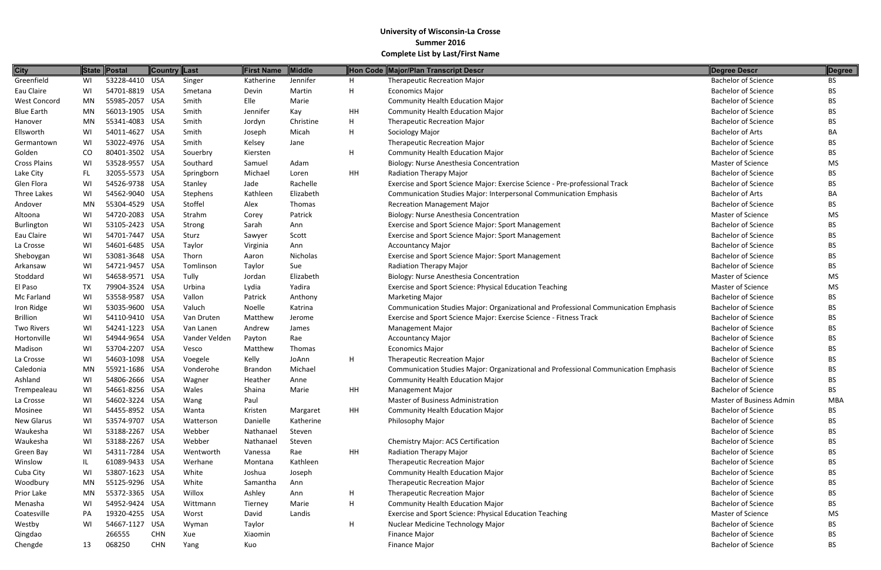| <b>City</b>         |           | State Postal   | <b>Country Last</b> |               | <b>First Name</b> | Middle    |    | Hon Code Major/Plan Transcript Descr                                                | Degree Descr               | Degree     |
|---------------------|-----------|----------------|---------------------|---------------|-------------------|-----------|----|-------------------------------------------------------------------------------------|----------------------------|------------|
| Greenfield          | WI        | 53228-4410 USA |                     | Singer        | Katherine         | Jennifer  | H  | <b>Therapeutic Recreation Major</b>                                                 | <b>Bachelor of Science</b> | BS.        |
| Eau Claire          | WI        | 54701-8819 USA |                     | Smetana       | Devin             | Martin    | H  | <b>Economics Major</b>                                                              | <b>Bachelor of Science</b> | <b>BS</b>  |
| <b>West Concord</b> | <b>MN</b> | 55985-2057 USA |                     | Smith         | Elle              | Marie     |    | <b>Community Health Education Major</b>                                             | <b>Bachelor of Science</b> | <b>BS</b>  |
| <b>Blue Earth</b>   | MN        | 56013-1905 USA |                     | Smith         | Jennifer          | Kay       | HH | <b>Community Health Education Major</b>                                             | <b>Bachelor of Science</b> | <b>BS</b>  |
| Hanover             | MN        | 55341-4083 USA |                     | Smith         | Jordyn            | Christine | H  | <b>Therapeutic Recreation Major</b>                                                 | <b>Bachelor of Science</b> | <b>BS</b>  |
| Ellsworth           | WI        | 54011-4627 USA |                     | Smith         | Joseph            | Micah     | H  | Sociology Major                                                                     | <b>Bachelor of Arts</b>    | BA         |
| Germantown          | WI        | 53022-4976 USA |                     | Smith         | Kelsey            | Jane      |    | <b>Therapeutic Recreation Major</b>                                                 | <b>Bachelor of Science</b> | <b>BS</b>  |
| Golden              | CO        | 80401-3502 USA |                     | Souerbry      | Kiersten          |           | H  | <b>Community Health Education Major</b>                                             | <b>Bachelor of Science</b> | <b>BS</b>  |
| <b>Cross Plains</b> | WI        | 53528-9557 USA |                     | Southard      | Samuel            | Adam      |    | Biology: Nurse Anesthesia Concentration                                             | Master of Science          | MS         |
| Lake City           | FL.       | 32055-5573 USA |                     | Springborn    | Michael           | Loren     | HH | Radiation Therapy Major                                                             | <b>Bachelor of Science</b> | <b>BS</b>  |
| Glen Flora          | WI        | 54526-9738 USA |                     | Stanley       | Jade              | Rachelle  |    | Exercise and Sport Science Major: Exercise Science - Pre-professional Track         | <b>Bachelor of Science</b> | ВS         |
| Three Lakes         | WI        | 54562-9040 USA |                     | Stephens      | Kathleen          | Elizabeth |    | Communication Studies Major: Interpersonal Communication Emphasis                   | <b>Bachelor of Arts</b>    | BA         |
| Andover             | <b>MN</b> | 55304-4529 USA |                     | Stoffel       | Alex              | Thomas    |    | <b>Recreation Management Major</b>                                                  | <b>Bachelor of Science</b> | <b>BS</b>  |
| Altoona             | WI        | 54720-2083 USA |                     | Strahm        | Corey             | Patrick   |    | Biology: Nurse Anesthesia Concentration                                             | Master of Science          | MS         |
| <b>Burlington</b>   | WI        | 53105-2423 USA |                     | Strong        | Sarah             | Ann       |    | Exercise and Sport Science Major: Sport Management                                  | <b>Bachelor of Science</b> | <b>BS</b>  |
| Eau Claire          | WI        | 54701-7447 USA |                     | Sturz         | Sawyer            | Scott     |    | Exercise and Sport Science Major: Sport Management                                  | <b>Bachelor of Science</b> | <b>BS</b>  |
| La Crosse           | WI        | 54601-6485 USA |                     | Taylor        | Virginia          | Ann       |    | <b>Accountancy Major</b>                                                            | <b>Bachelor of Science</b> | <b>BS</b>  |
| Sheboygan           | WI        | 53081-3648 USA |                     | Thorn         | Aaron             | Nicholas  |    | Exercise and Sport Science Major: Sport Management                                  | <b>Bachelor of Science</b> | <b>BS</b>  |
| Arkansaw            | WI        | 54721-9457 USA |                     | Tomlinson     | Taylor            | Sue       |    | Radiation Therapy Major                                                             | <b>Bachelor of Science</b> | <b>BS</b>  |
| Stoddard            | WI        | 54658-9571 USA |                     | Tully         | Jordan            | Elizabeth |    | Biology: Nurse Anesthesia Concentration                                             | <b>Master of Science</b>   | MS         |
| El Paso             | <b>TX</b> | 79904-3524 USA |                     | Urbina        | Lydia             | Yadira    |    | Exercise and Sport Science: Physical Education Teaching                             | Master of Science          | MS         |
| Mc Farland          | WI        | 53558-9587 USA |                     | Vallon        | Patrick           | Anthony   |    | <b>Marketing Major</b>                                                              | <b>Bachelor of Science</b> | <b>BS</b>  |
| Iron Ridge          | WI        | 53035-9600 USA |                     | Valuch        | Noelle            | Katrina   |    | Communication Studies Major: Organizational and Professional Communication Emphasis | <b>Bachelor of Science</b> | <b>BS</b>  |
| <b>Brillion</b>     | WI        | 54110-9410 USA |                     | Van Druten    | Matthew           | Jerome    |    | Exercise and Sport Science Major: Exercise Science - Fitness Track                  | <b>Bachelor of Science</b> | <b>BS</b>  |
| <b>Two Rivers</b>   | WI        | 54241-1223 USA |                     | Van Lanen     | Andrew            | James     |    | <b>Management Major</b>                                                             | <b>Bachelor of Science</b> | <b>BS</b>  |
| Hortonville         | WI        | 54944-9654 USA |                     | Vander Velden | Payton            | Rae       |    | <b>Accountancy Major</b>                                                            | <b>Bachelor of Science</b> | <b>BS</b>  |
| Madison             | WI        | 53704-2207 USA |                     | Vesco         | Matthew           | Thomas    |    | <b>Economics Major</b>                                                              | <b>Bachelor of Science</b> | <b>BS</b>  |
| La Crosse           | WI        | 54603-1098 USA |                     | Voegele       | Kelly             | JoAnn     | H  | <b>Therapeutic Recreation Major</b>                                                 | <b>Bachelor of Science</b> | <b>BS</b>  |
| Caledonia           | <b>MN</b> | 55921-1686 USA |                     | Vonderohe     | <b>Brandon</b>    | Michael   |    | Communication Studies Major: Organizational and Professional Communication Emphasis | <b>Bachelor of Science</b> | ВS         |
| Ashland             | WI        | 54806-2666 USA |                     | Wagner        | Heather           | Anne      |    | <b>Community Health Education Major</b>                                             | <b>Bachelor of Science</b> | <b>BS</b>  |
| Trempealeau         | WI        | 54661-8256 USA |                     | Wales         | Shaina            | Marie     | HH | <b>Management Major</b>                                                             | <b>Bachelor of Science</b> | <b>BS</b>  |
| La Crosse           | WI        | 54602-3224 USA |                     | Wang          | Paul              |           |    | <b>Master of Business Administration</b>                                            | Master of Business Admin   | <b>MBA</b> |
| Mosinee             | WI        | 54455-8952 USA |                     | Wanta         | Kristen           | Margaret  | HH | <b>Community Health Education Major</b>                                             | <b>Bachelor of Science</b> | <b>BS</b>  |
| New Glarus          | WI        | 53574-9707 USA |                     | Watterson     | Danielle          | Katherine |    | Philosophy Major                                                                    | <b>Bachelor of Science</b> | <b>BS</b>  |
| Waukesha            | WI        | 53188-2267 USA |                     | Webber        | Nathanael         | Steven    |    |                                                                                     | <b>Bachelor of Science</b> | <b>BS</b>  |
| Waukesha            | WI        | 53188-2267 USA |                     | Webber        | Nathanael         | Steven    |    | Chemistry Major: ACS Certification                                                  | <b>Bachelor of Science</b> | <b>BS</b>  |
| Green Bay           | WI        | 54311-7284 USA |                     | Wentworth     | Vanessa           | Rae       | HH | Radiation Therapy Major                                                             | <b>Bachelor of Science</b> | <b>BS</b>  |
| Winslow             | IL        | 61089-9433 USA |                     | Werhane       | Montana           | Kathleen  |    | <b>Therapeutic Recreation Major</b>                                                 | <b>Bachelor of Science</b> | <b>BS</b>  |
| Cuba City           | WI        | 53807-1623 USA |                     | White         | Joshua            | Joseph    |    | <b>Community Health Education Major</b>                                             | <b>Bachelor of Science</b> | <b>BS</b>  |
| Woodbury            | MN        | 55125-9296 USA |                     | White         | Samantha          | Ann       |    | <b>Therapeutic Recreation Major</b>                                                 | <b>Bachelor of Science</b> | <b>BS</b>  |
| Prior Lake          | MN        | 55372-3365 USA |                     | Willox        | Ashley            | Ann       | H  | <b>Therapeutic Recreation Major</b>                                                 | <b>Bachelor of Science</b> | <b>BS</b>  |
| Menasha             | WI        | 54952-9424 USA |                     | Wittmann      | Tierney           | Marie     | H  | <b>Community Health Education Major</b>                                             | <b>Bachelor of Science</b> | <b>BS</b>  |
| Coatesville         | PA        | 19320-4255 USA |                     | Worst         | David             | Landis    |    | Exercise and Sport Science: Physical Education Teaching                             | Master of Science          | MS         |
| Westby              | WI        | 54667-1127 USA |                     | Wyman         | Taylor            |           | H  | Nuclear Medicine Technology Major                                                   | <b>Bachelor of Science</b> | <b>BS</b>  |
| Qingdao             |           | 266555         | <b>CHN</b>          | Xue           | Xiaomin           |           |    | Finance Major                                                                       | <b>Bachelor of Science</b> | BS         |
| Chengde             | 13        | 068250         | <b>CHN</b>          | Yang          | Kuo               |           |    | <b>Finance Major</b>                                                                | <b>Bachelor of Science</b> | <b>BS</b>  |